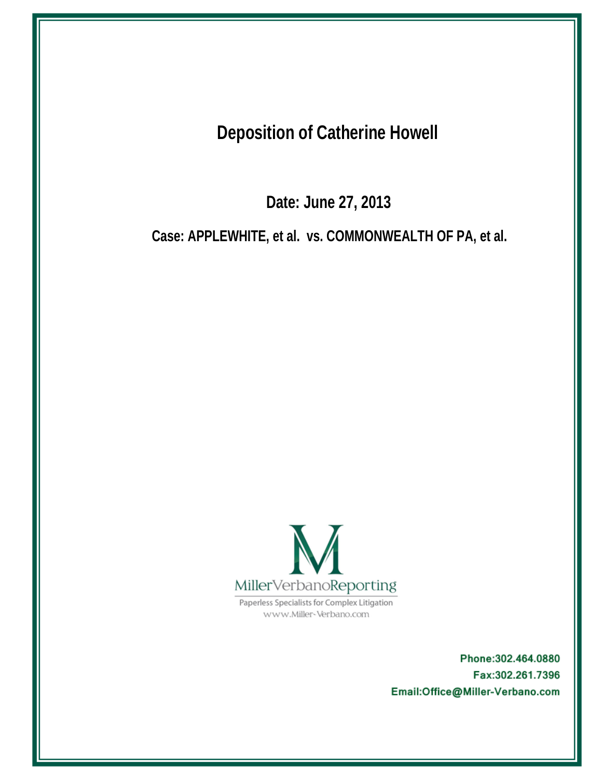**Deposition of Catherine Howell** 

Date: June 27, 2013

Case: APPLEWHITE, et al. vs. COMMONWEALTH OF PA, et al.



Paperless Specialists for Complex Litigation www.Miller-Verbano.com

> Phone: 302.464.0880 Fax:302.261.7396 Email:Office@Miller-Verbano.com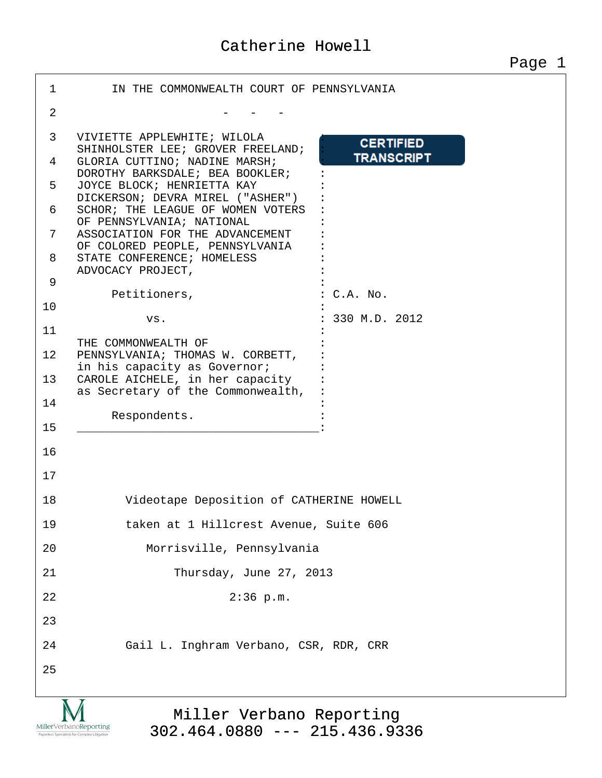| $\mathbf{1}$   | IN THE COMMONWEALTH COURT OF PENNSYLVANIA                                             |
|----------------|---------------------------------------------------------------------------------------|
| $\overline{2}$ |                                                                                       |
| 3              | VIVIETTE APPLEWHITE; WILOLA<br><b>CERTIFIED</b><br>SHINHOLSTER LEE; GROVER FREELAND;  |
| 4              | <b>TRANSCRIPT</b><br>GLORIA CUTTINO; NADINE MARSH;<br>DOROTHY BARKSDALE; BEA BOOKLER; |
| 5              | JOYCE BLOCK; HENRIETTA KAY<br>DICKERSON; DEVRA MIREL ("ASHER")                        |
| 6              | SCHOR; THE LEAGUE OF WOMEN VOTERS<br>OF PENNSYLVANIA; NATIONAL                        |
| 7              | ASSOCIATION FOR THE ADVANCEMENT<br>OF COLORED PEOPLE, PENNSYLVANIA                    |
| 8              | STATE CONFERENCE; HOMELESS<br>ADVOCACY PROJECT,                                       |
| 9              | Petitioners,<br>: C.A. No.                                                            |
| 10             | $: 330$ M.D. 2012<br>VS.                                                              |
| 11             | THE COMMONWEALTH OF                                                                   |
| 12             | PENNSYLVANIA; THOMAS W. CORBETT,<br>in his capacity as Governor;                      |
| 13             | CAROLE AICHELE, in her capacity<br>as Secretary of the Commonwealth,                  |
| 14             | Respondents.                                                                          |
| 15             |                                                                                       |
| 16             |                                                                                       |
| 17             |                                                                                       |
| 18             | Videotape Deposition of CATHERINE HOWELL                                              |
| 19             | taken at 1 Hillcrest Avenue, Suite 606                                                |
| 20             | Morrisville, Pennsylvania                                                             |
| 21             | Thursday, June 27, 2013                                                               |
| 22             | $2:36$ p.m.                                                                           |
| 23             |                                                                                       |
| 24             | Gail L. Inghram Verbano, CSR, RDR, CRR                                                |
| 25             |                                                                                       |
|                |                                                                                       |

M  $\underset{\text{Paperless Specialists for Complex Litigation}}{\text{MillerVerbanoReporting}}$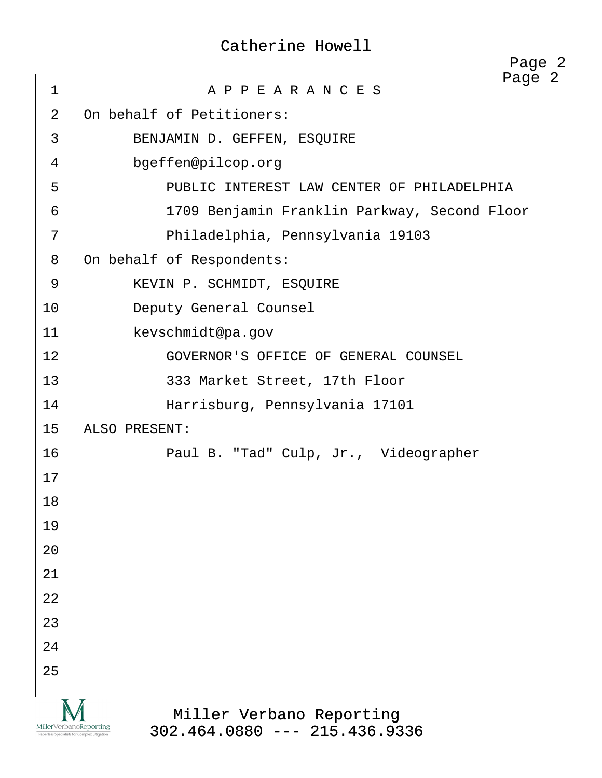|                                                                          | Page 2                                                      |
|--------------------------------------------------------------------------|-------------------------------------------------------------|
| $\mathbf{1}$                                                             | Page 2<br>A P P E A R A N C E S                             |
| 2                                                                        | On behalf of Petitioners:                                   |
| 3                                                                        | BENJAMIN D. GEFFEN, ESQUIRE                                 |
| 4                                                                        | bgeffen@pilcop.org                                          |
| 5                                                                        | PUBLIC INTEREST LAW CENTER OF PHILADELPHIA                  |
| 6                                                                        | 1709 Benjamin Franklin Parkway, Second Floor                |
| 7                                                                        | Philadelphia, Pennsylvania 19103                            |
| 8                                                                        | On behalf of Respondents:                                   |
| 9                                                                        | KEVIN P. SCHMIDT, ESQUIRE                                   |
| 10                                                                       | Deputy General Counsel                                      |
| 11                                                                       | kevschmidt@pa.gov                                           |
| 12                                                                       | GOVERNOR'S OFFICE OF GENERAL COUNSEL                        |
| 13                                                                       | 333 Market Street, 17th Floor                               |
| 14                                                                       | Harrisburg, Pennsylvania 17101                              |
| 15                                                                       | ALSO PRESENT:                                               |
| 16                                                                       | Paul B. "Tad" Culp, Jr., Videographer                       |
| 17                                                                       |                                                             |
| 18                                                                       |                                                             |
| 19                                                                       |                                                             |
| 20                                                                       |                                                             |
| 21                                                                       |                                                             |
| 22                                                                       |                                                             |
| 23                                                                       |                                                             |
| 24                                                                       |                                                             |
| 25                                                                       |                                                             |
| Miller Verbano Reporting<br>Paperless Specialists for Complex Litigation | Miller Verbano Reporting<br>$302.464.0880$ --- 215.436.9336 |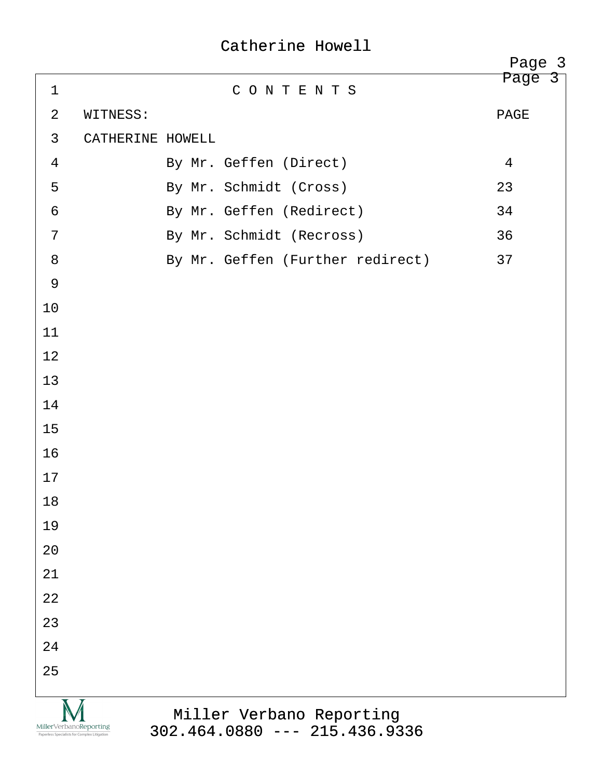|                                                                        |                  |                                                             | Page 3 |  |
|------------------------------------------------------------------------|------------------|-------------------------------------------------------------|--------|--|
| $\mathbf 1$                                                            |                  | CONTENTS                                                    | Page 3 |  |
| 2                                                                      | WITNESS:         |                                                             | PAGE   |  |
| $\mathbf{3}$                                                           | CATHERINE HOWELL |                                                             |        |  |
| $\overline{4}$                                                         |                  | By Mr. Geffen (Direct)                                      | 4      |  |
| 5                                                                      |                  | By Mr. Schmidt (Cross)                                      | 23     |  |
| 6                                                                      |                  | By Mr. Geffen (Redirect)                                    | 34     |  |
| 7                                                                      |                  | By Mr. Schmidt (Recross)                                    | 36     |  |
| 8                                                                      |                  | By Mr. Geffen (Further redirect)                            | 37     |  |
| $\overline{9}$                                                         |                  |                                                             |        |  |
| 10                                                                     |                  |                                                             |        |  |
| 11                                                                     |                  |                                                             |        |  |
| 12                                                                     |                  |                                                             |        |  |
| 13                                                                     |                  |                                                             |        |  |
| 14                                                                     |                  |                                                             |        |  |
| 15                                                                     |                  |                                                             |        |  |
| 16                                                                     |                  |                                                             |        |  |
| 17                                                                     |                  |                                                             |        |  |
| 18                                                                     |                  |                                                             |        |  |
| 19                                                                     |                  |                                                             |        |  |
| 20                                                                     |                  |                                                             |        |  |
| 21                                                                     |                  |                                                             |        |  |
| 22                                                                     |                  |                                                             |        |  |
| 23                                                                     |                  |                                                             |        |  |
| 24                                                                     |                  |                                                             |        |  |
| 25                                                                     |                  |                                                             |        |  |
| MillerVerbanoReporting<br>Paperless Specialists for Complex Litigation |                  | Miller Verbano Reporting<br>$302.464.0880$ --- 215.436.9336 |        |  |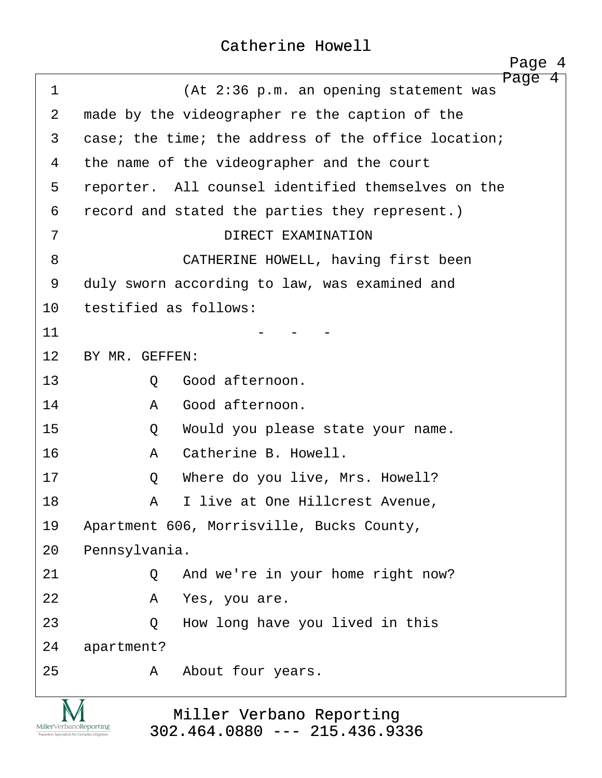<span id="page-4-0"></span>

| 1                 | Page<br>4<br>(At 2:36 p.m. an opening statement was |
|-------------------|-----------------------------------------------------|
| 2                 | made by the videographer re the caption of the      |
| 3                 | case; the time; the address of the office location; |
| 4                 | the name of the videographer and the court          |
| 5                 | reporter. All counsel identified themselves on the  |
| 6                 | record and stated the parties they represent.)      |
| 7                 | DIRECT EXAMINATION                                  |
| 8                 | CATHERINE HOWELL, having first been                 |
| 9                 | duly sworn according to law, was examined and       |
| 10                | testified as follows:                               |
| 11                |                                                     |
| $12 \overline{)}$ | BY MR. GEFFEN:                                      |
| 13                | Good afternoon.<br>Q                                |
| 14                | Good afternoon.<br>Α                                |
| 15                | Would you please state your name.<br>Q              |
| 16                | Catherine B. Howell.<br>A                           |
| 17                | Where do you live, Mrs. Howell?<br>Q                |
| 18                | I live at One Hillcrest Avenue,<br>A                |
| 19                | Apartment 606, Morrisville, Bucks County,           |
| 20                | Pennsylvania.                                       |
| 21                | And we're in your home right now?<br>Q              |
| 22                | Α<br>Yes, you are.                                  |
| 23                | How long have you lived in this<br>Q                |
| 24                | apartment?                                          |
| 25                | About four years.<br>A                              |
|                   |                                                     |

 $\underset{\substack{\text{MillerVerbanoReporting} \\ \text{Papefless Specialists for Complex Litigation} }}{\sum_{\substack{\text{Papefless Specialists for Complex Litigation} \\ \text{Litigation}}}$ 

Miller Verbano Reporting [302.464.0880 --- 215.436.9336](http://www.miller-verbano.com)  http://www.yeslaw.net/help

http://www.yeslaw.net/help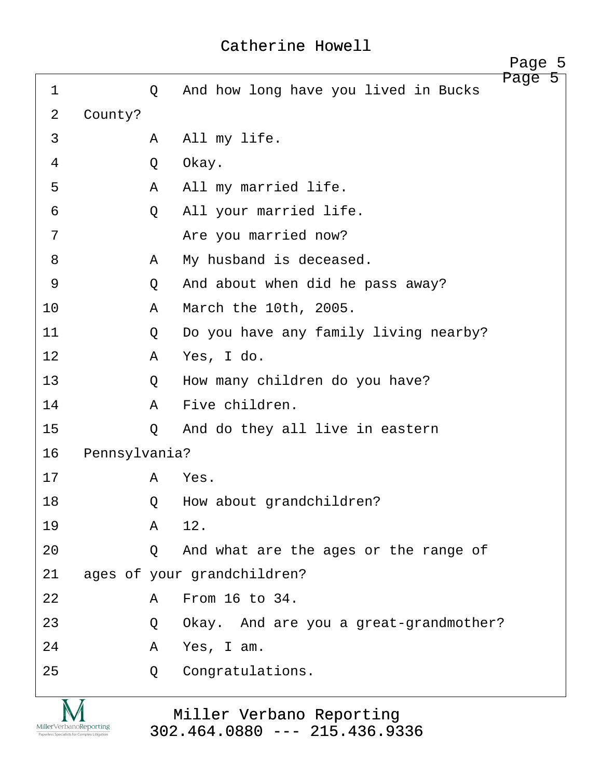<span id="page-5-0"></span>

|             |               |   |                                        | Page 5 |  |
|-------------|---------------|---|----------------------------------------|--------|--|
| $\mathbf 1$ |               | Q | And how long have you lived in Bucks   | Page 5 |  |
| 2           | County?       |   |                                        |        |  |
| 3           |               | A | All my life.                           |        |  |
| 4           |               | Q | Okay.                                  |        |  |
| 5           |               | A | All my married life.                   |        |  |
| 6           |               | Q | All your married life.                 |        |  |
| 7           |               |   | Are you married now?                   |        |  |
| 8           |               | A | My husband is deceased.                |        |  |
| 9           |               | Q | And about when did he pass away?       |        |  |
| 10          |               | A | March the 10th, 2005.                  |        |  |
| 11          |               | Q | Do you have any family living nearby?  |        |  |
| 12          |               | A | Yes, I do.                             |        |  |
| 13          |               | Q | How many children do you have?         |        |  |
| 14          |               | A | Five children.                         |        |  |
| 15          |               | Q | And do they all live in eastern        |        |  |
| 16          | Pennsylvania? |   |                                        |        |  |
| 17          |               | A | Yes.                                   |        |  |
| 18          |               | Q | How about grandchildren?               |        |  |
| 19          |               | A | 12.                                    |        |  |
| 20          |               | Q | And what are the ages or the range of  |        |  |
| 21          |               |   | ages of your grandchildren?            |        |  |
| 22          |               | A | From 16 to 34.                         |        |  |
| 23          |               | Q | Okay. And are you a great-grandmother? |        |  |
| 24          |               | Α | Yes, I am.                             |        |  |
| 25          |               | Q | Congratulations.                       |        |  |
|             |               |   |                                        |        |  |
|             |               |   | Miller Verbano Reporting               |        |  |

Miller Verbano Reporting [302.464.0880 --- 215.436.9336](http://www.miller-verbano.com) 

 $\underset{\text{Paperless Specialists for Complex Litigation}}{\text{MillerVerbanoReporting}}$ 

http://www.yeslaw.net/help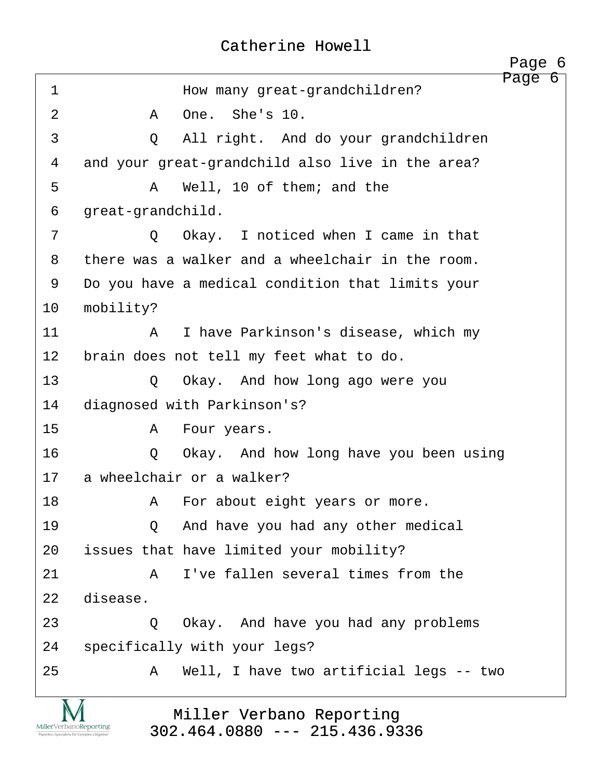<span id="page-6-0"></span>

|                 |                           | Page 6                                           |  |
|-----------------|---------------------------|--------------------------------------------------|--|
| $\mathbf 1$     |                           | Page 6<br>How many great-grandchildren?          |  |
| 2               | Α                         | One. She's 10.                                   |  |
| 3               | Q                         | All right. And do your grandchildren             |  |
| $\overline{4}$  |                           | and your great-grandchild also live in the area? |  |
| 5               | Α                         | Well, 10 of them; and the                        |  |
| 6               | great-grandchild.         |                                                  |  |
| 7               | $\circ$                   | Okay. I noticed when I came in that              |  |
| 8               |                           | there was a walker and a wheelchair in the room. |  |
| 9               |                           | Do you have a medical condition that limits your |  |
| 10              | mobility?                 |                                                  |  |
| 11              | $\mathsf{A}$              | I have Parkinson's disease, which my             |  |
| 12 <sup>°</sup> |                           | brain does not tell my feet what to do.          |  |
| 13              | $\circ$                   | Okay. And how long ago were you                  |  |
| 14              |                           | diagnosed with Parkinson's?                      |  |
| 15              | A                         | Four years.                                      |  |
| 16              | Q                         | Okay. And how long have you been using           |  |
| 17              | a wheelchair or a walker? |                                                  |  |
| 18              | Α                         | For about eight years or more.                   |  |
| 19              | $\circ$                   | And have you had any other medical               |  |
| 20              |                           | issues that have limited your mobility?          |  |
| 21              | A                         | I've fallen several times from the               |  |
| 22              | disease.                  |                                                  |  |
| 23              | Q                         | Okay. And have you had any problems              |  |
| 24              |                           | specifically with your legs?                     |  |
| 25              | A                         | Well, I have two artificial legs -- two          |  |
|                 |                           | Miller Verbano Reporting                         |  |
|                 |                           |                                                  |  |

Miller Verbano Reporting [302.464.0880 --- 215.436.9336](http://www.miller-verbano.com) 

 $\underset{\text{Paperless Specialists for Complex Litigation}}{\text{MillerVerbanoReporting}}$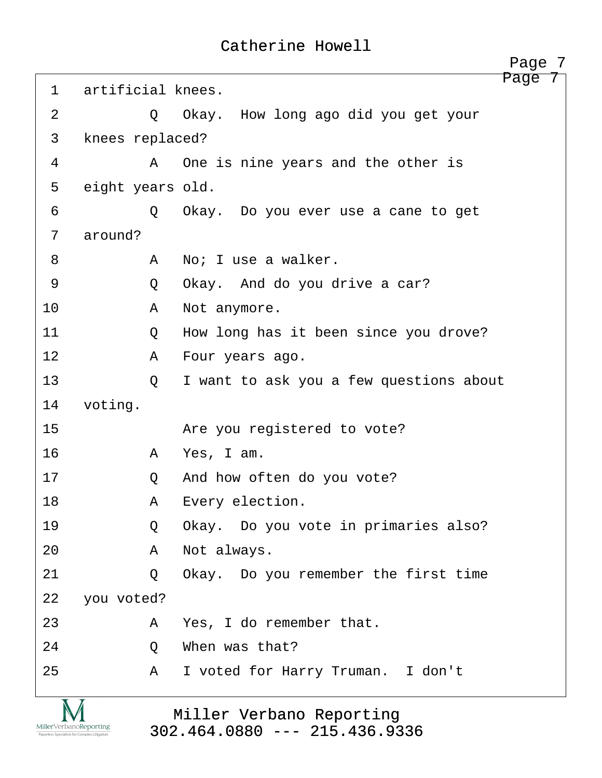<span id="page-7-0"></span>

|                |                   | Page 7                                  |
|----------------|-------------------|-----------------------------------------|
| $\mathbf{1}$   | artificial knees. | Page                                    |
| 2              | Q                 | Okay. How long ago did you get your     |
| 3              | knees replaced?   |                                         |
| 4              | A                 | One is nine years and the other is      |
| 5              | eight years old.  |                                         |
| 6              | Q                 | Okay. Do you ever use a cane to get     |
| 7              | around?           |                                         |
| 8              | A                 | No; I use a walker.                     |
| 9              | Q                 | Okay. And do you drive a car?           |
| 10             | A                 | Not anymore.                            |
| 11             | Q                 | How long has it been since you drove?   |
| 12             | A                 | Four years ago.                         |
| 13             | Q                 | I want to ask you a few questions about |
| 14             | voting.           |                                         |
| 15             |                   | Are you registered to vote?             |
| 16             | A                 | Yes, I am.                              |
| 17             | Q                 | And how often do you vote?              |
| 18             | Α                 | Every election.                         |
| 19             | Q                 | Okay. Do you vote in primaries also?    |
| 20             | A                 | Not always.                             |
| 21             | Q                 | Okay. Do you remember the first time    |
| 22             | you voted?        |                                         |
| 23             | Α                 | Yes, I do remember that.                |
| 24             | Q                 | When was that?                          |
| 25             | $\mathbf{A}$      | I voted for Harry Truman. I don't       |
| $\overline{M}$ |                   |                                         |

Miller Verbano Reporting [302.464.0880 --- 215.436.9336](http://www.miller-verbano.com) 

M  $\underset{\text{Paperless Specialists for Complex Litigation}}{\text{MillerVerbanoReporting}}$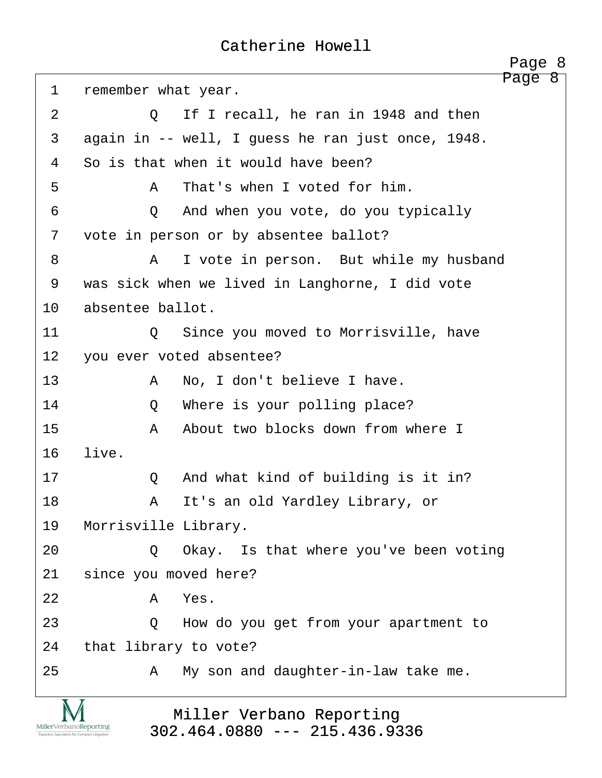<span id="page-8-0"></span>

|    | Page 8                                            |
|----|---------------------------------------------------|
| 1  | Page 8<br>remember what year.                     |
| 2  | If I recall, he ran in 1948 and then<br>$\circ$   |
| 3  | again in -- well, I guess he ran just once, 1948. |
| 4  | So is that when it would have been?               |
| 5  | That's when I voted for him.<br>A                 |
| 6  | And when you vote, do you typically<br>$\circ$    |
| 7  | vote in person or by absentee ballot?             |
| 8  | I vote in person. But while my husband<br>A       |
| 9  | was sick when we lived in Langhorne, I did vote   |
| 10 | absentee ballot.                                  |
| 11 | Since you moved to Morrisville, have<br>$\circ$   |
| 12 | you ever voted absentee?                          |
| 13 | No, I don't believe I have.<br>A                  |
| 14 | Where is your polling place?<br>Q                 |
| 15 | About two blocks down from where I<br>A           |
| 16 | live.                                             |
| 17 | And what kind of building is it in?<br>Q          |
| 18 | It's an old Yardley Library, or<br>Α              |
| 19 | Morrisville Library.                              |
| 20 | Okay. Is that where you've been voting<br>Q       |
| 21 | since you moved here?                             |
| 22 | Yes.<br>A                                         |
| 23 | How do you get from your apartment to<br>Q        |
| 24 | that library to vote?                             |
| 25 | My son and daughter-in-law take me.<br>A          |
|    | Miller Verbano Reporting                          |

# Miller Verbano Reporting [302.464.0880 --- 215.436.9336](http://www.miller-verbano.com)

 $\underset{\text{Paperless Specialists for Complex Litigation}}{\text{MillerVerbanoReporting}}$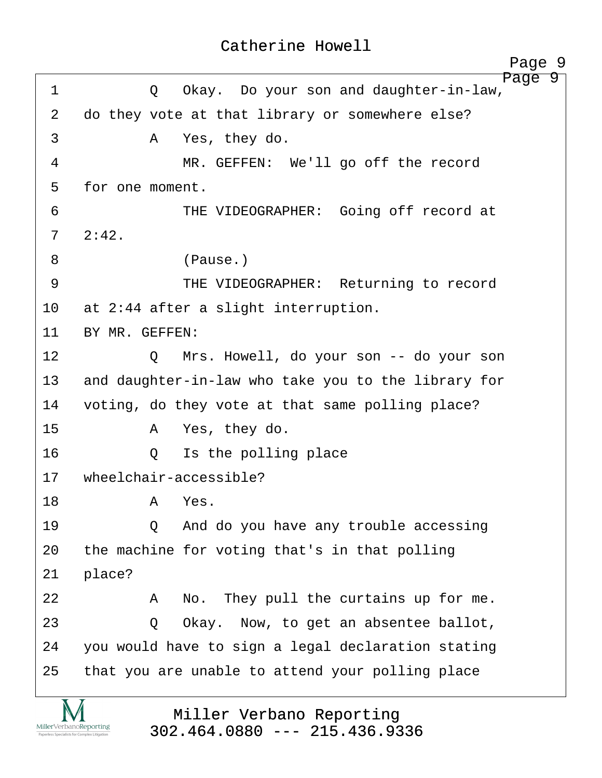<span id="page-9-0"></span>

|             | Page 9                                                |
|-------------|-------------------------------------------------------|
| $\mathbf 1$ | Page 9<br>Okay. Do your son and daughter-in-law,<br>Q |
| 2           | do they vote at that library or somewhere else?       |
| 3           | Yes, they do.<br>A                                    |
| 4           | MR. GEFFEN: We'll go off the record                   |
| 5           | for one moment.                                       |
| 6           | THE VIDEOGRAPHER: Going off record at                 |
| 7           | 2:42.                                                 |
| 8           | (Pause.)                                              |
| 9           | THE VIDEOGRAPHER: Returning to record                 |
| 10          | at 2:44 after a slight interruption.                  |
| 11          | BY MR. GEFFEN:                                        |
| 12          | Mrs. Howell, do your son -- do your son<br>$\circ$    |
| 13          | and daughter-in-law who take you to the library for   |
| 14          | voting, do they vote at that same polling place?      |
| 15          | Yes, they do.<br>$\mathbf{A}$                         |
| 16          | Is the polling place<br>Q                             |
| 17          | wheelchair-accessible?                                |
| 18          | Yes.<br>Α                                             |
| 19          | And do you have any trouble accessing<br>$\circ$      |
| 20          | the machine for voting that's in that polling         |
| 21          | place?                                                |
| 22          | No. They pull the curtains up for me.<br>A            |
| 23          | Okay. Now, to get an absentee ballot,<br>Q            |
| 24          | you would have to sign a legal declaration stating    |
| 25          | that you are unable to attend your polling place      |

Miller Verbano Reporting [302.464.0880 --- 215.436.9336](http://www.miller-verbano.com) 

**IVI**  $\underset{\text{Paperless Specialists for Complex Litigation}}{\text{MillerVerbanoReporting}}$ 

http://www.yeslaw.net/help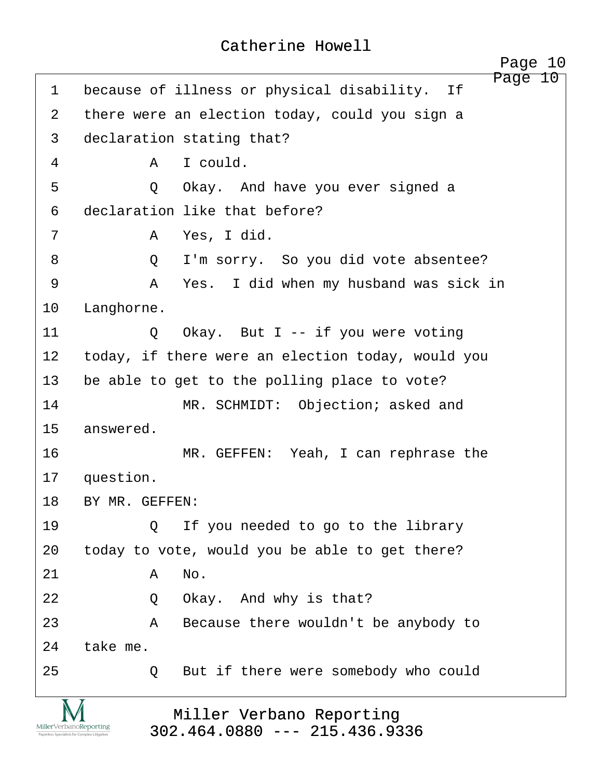<span id="page-10-0"></span>Page 10 1 because of illness or physical disability. If 2 there were an election today, could you sign a 3 declaration stating that? ·4· · · · · ·A· ·I could. 5 · · · · · Q · Okay. And have you ever signed a 6 declaration like that before? ·7· · · · · ·A· ·Yes, I did. ·8· · · · · ·Q· ·I'm sorry.· So you did vote absentee? ·9· · · · · ·A· ·Yes.· I did when my husband was sick in 10 Langhorne. 11· · · · · ·Q· ·Okay.· But I -- if you were voting 12 today, if there were an election today, would you 13 be able to get to the polling place to vote? 14 MR. SCHMIDT: Objection; asked and 15 answered. 16· · · · · · · ·MR. GEFFEN:· Yeah, I can rephrase the 17 question. 18 BY MR. GEFFEN: 19· · · · · ·Q· ·If you needed to go to the library 20 today to vote, would you be able to get there? 21· · · · · ·A· ·No. 22 · 20 Okay. And why is that? 23· · · · · ·A· ·Because there wouldn't be anybody to 24 take me. 25 0 But if there were somebody who could

MillerVerbanoReporting

Miller Verbano Reporting [302.464.0880 --- 215.436.9336](http://www.miller-verbano.com)  http://www.yeslaw.net/help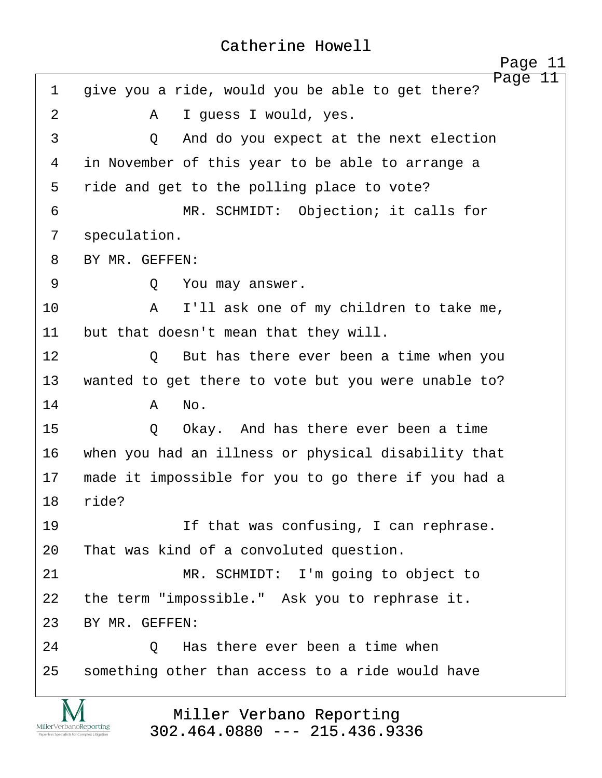<span id="page-11-0"></span>Page 11 1 give you a ride, would you be able to get there? 2 A I guess I would, yes. 3 a 2 · And do you expect at the next election 4 in November of this year to be able to arrange a 5 ride and get to the polling place to vote? ·6· · · · · · · ·MR. SCHMIDT:· Objection; it calls for 7 speculation. 8 BY MR. GEFFEN: ·9· · · · · ·Q· ·You may answer. 10· · · · · ·A· ·I'll ask one of my children to take me, 11 but that doesn't mean that they will. 12· · · · · ·Q· ·But has there ever been a time when you 13 wanted to get there to vote but you were unable to? 14· · · · · ·A· ·No. 15 · · · · · · O · Okay. And has there ever been a time 16 when you had an illness or physical disability that 17 made it impossible for you to go there if you had a 18 ride? 19· · · · · · · ·If that was confusing, I can rephrase. 20 That was kind of a convoluted question. 21 MR. SCHMIDT: I'm going to object to 22 the term "impossible." Ask you to rephrase it. 23 BY MR. GEFFEN: 24· · · · · ·Q· ·Has there ever been a time when 25 something other than access to a ride would have

> Miller Verbano Reporting [302.464.0880 --- 215.436.9336](http://www.miller-verbano.com)

MillerVerbanoReporting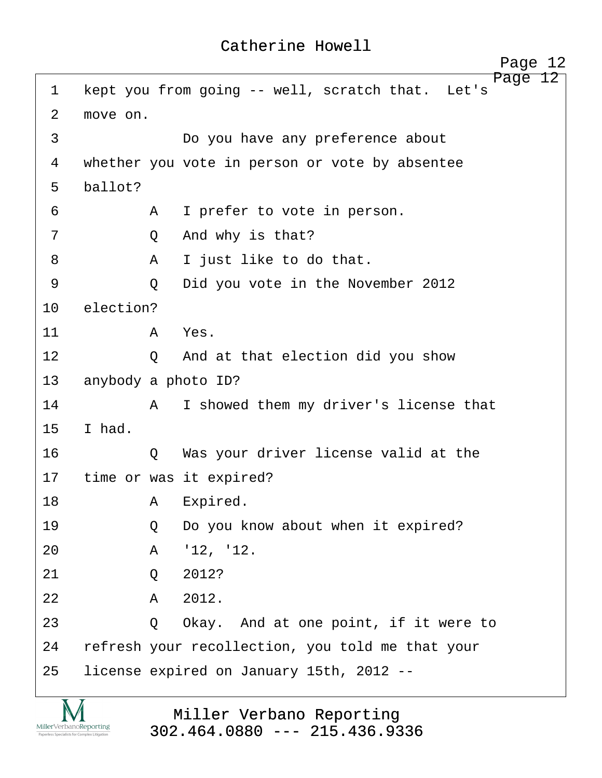<span id="page-12-0"></span>Page 12 1 kept you from going -- well, scratch that. Let's 2 move on. 3 · · · · · · · · Do you have any preference about 4 whether you vote in person or vote by absentee 5 ballot? ·6· · · · · ·A· ·I prefer to vote in person. ·7· · · · · ·Q· ·And why is that? ·8· · · · · ·A· ·I just like to do that. ·9· · · · · ·Q· ·Did you vote in the November 2012 10 election? 11· · · · · ·A· ·Yes. 12 0 And at that election did you show 13 anybody a photo ID? 14· · · · · ·A· ·I showed them my driver's license that  $15$  I had. 16· · · · · ·Q· ·Was your driver license valid at the 17 time or was it expired? 18· · · · · ·A· ·Expired. 19 · · · · · Q · Do you know about when it expired? 20 A '12, '12. 21 0 2012?  $22$  **A**  $2012$ . 23 · 20 Okay. And at one point, if it were to 24 refresh your recollection, you told me that your 25 license expired on January 15th, 2012 --



Miller Verbano Reporting [302.464.0880 --- 215.436.9336](http://www.miller-verbano.com)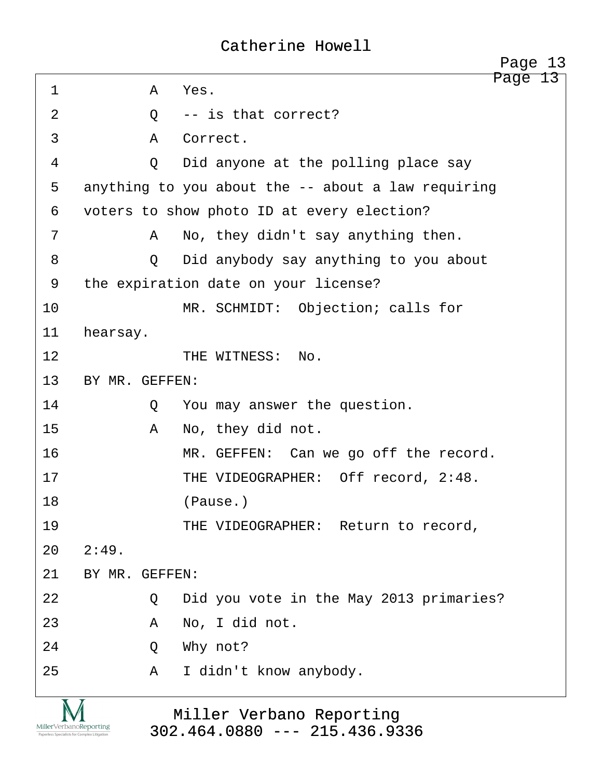<span id="page-13-0"></span>

|             |                | Page 13<br>Page 13                                 |
|-------------|----------------|----------------------------------------------------|
| $\mathbf 1$ | A              | Yes.                                               |
| 2           | Q              | -- is that correct?                                |
| 3           | $\mathsf{A}$   | Correct.                                           |
| 4           | $\circ$        | Did anyone at the polling place say                |
| 5           |                | anything to you about the -- about a law requiring |
| 6           |                | voters to show photo ID at every election?         |
| 7           | A              | No, they didn't say anything then.                 |
| 8           | $\circ$        | Did anybody say anything to you about              |
| 9           |                | the expiration date on your license?               |
| 10          |                | MR. SCHMIDT: Objection; calls for                  |
| 11          | hearsay.       |                                                    |
| 12          |                | THE WITNESS:<br>No.                                |
| 13          | BY MR. GEFFEN: |                                                    |
| 14          | Q              | You may answer the question.                       |
| 15          | Α              | No, they did not.                                  |
| 16          |                | MR. GEFFEN: Can we go off the record.              |
| 17          |                | THE VIDEOGRAPHER: Off record, 2:48.                |
| 18          |                | (Pause.)                                           |
| 19          |                | THE VIDEOGRAPHER: Return to record,                |
| 20          | 2:49.          |                                                    |
| 21          | BY MR. GEFFEN: |                                                    |
| 22          | Q              | Did you vote in the May 2013 primaries?            |
| 23          | Α              | No, I did not.                                     |
| 24          | Q              | Why not?                                           |
| 25          | Α              | I didn't know anybody.                             |
| Χ           | $\overline{M}$ |                                                    |

Miller Verbano Reporting [302.464.0880 --- 215.436.9336](http://www.miller-verbano.com) 

IVI  $\underset{\text{Paperless Specialists for Complex Litigation}}{\text{MillerVerbanoReporting}}$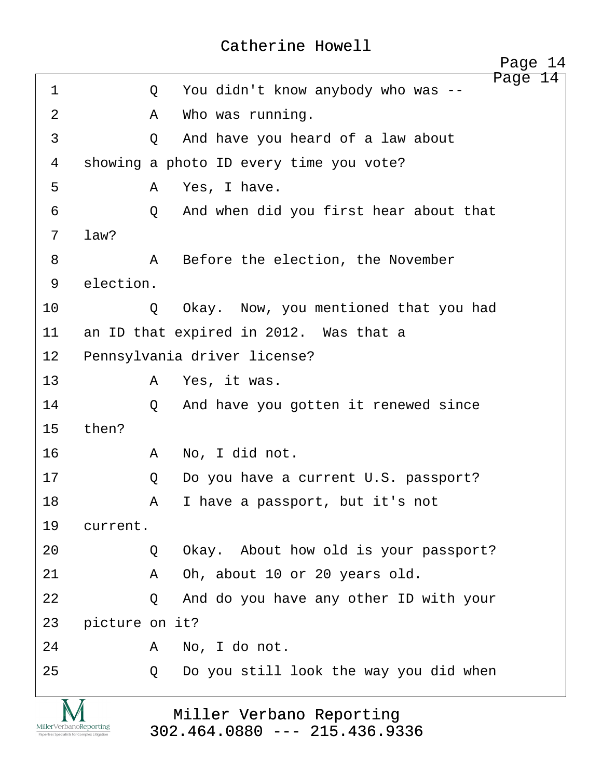<span id="page-14-0"></span>

| $\mathbf{1}$   |                | Q       | 14<br>Page<br>You didn't know anybody who was -- |
|----------------|----------------|---------|--------------------------------------------------|
| $\overline{2}$ |                | Α       | Who was running.                                 |
| 3              |                | Q       | And have you heard of a law about                |
| 4              |                |         | showing a photo ID every time you vote?          |
| 5              |                | Α       | Yes, I have.                                     |
| 6              |                | Q       | And when did you first hear about that           |
| 7              | law?           |         |                                                  |
| 8              |                | Α       | Before the election, the November                |
| 9              | election.      |         |                                                  |
| 10             |                | Q       | Okay. Now, you mentioned that you had            |
| 11             |                |         | an ID that expired in 2012. Was that a           |
| 12             |                |         | Pennsylvania driver license?                     |
| 13             |                | A       | Yes, it was.                                     |
| 14             |                | $\circ$ | And have you gotten it renewed since             |
| 15             | then?          |         |                                                  |
| 16             |                | A       | No, I did not.                                   |
| 17             |                | Q       | Do you have a current U.S. passport?             |
| 18             |                | Α       | I have a passport, but it's not                  |
| 19             | current.       |         |                                                  |
| 20             |                | $\circ$ | Okay. About how old is your passport?            |
| 21             |                | Α       | Oh, about 10 or 20 years old.                    |
| 22             |                | $\circ$ | And do you have any other ID with your           |
| 23             | picture on it? |         |                                                  |
| 24             |                | A       | No, I do not.                                    |
| 25             |                | Q       | Do you still look the way you did when           |
|                |                |         |                                                  |
|                |                |         | Miller Verbano Reporting                         |

Miller Verbano Reporting [302.464.0880 --- 215.436.9336](http://www.miller-verbano.com) 

 $\underset{\text{Paperless Specialists for Complex Litigation}}{\text{MillerVerbanoReporting}}$ 

http://www.yeslaw.net/help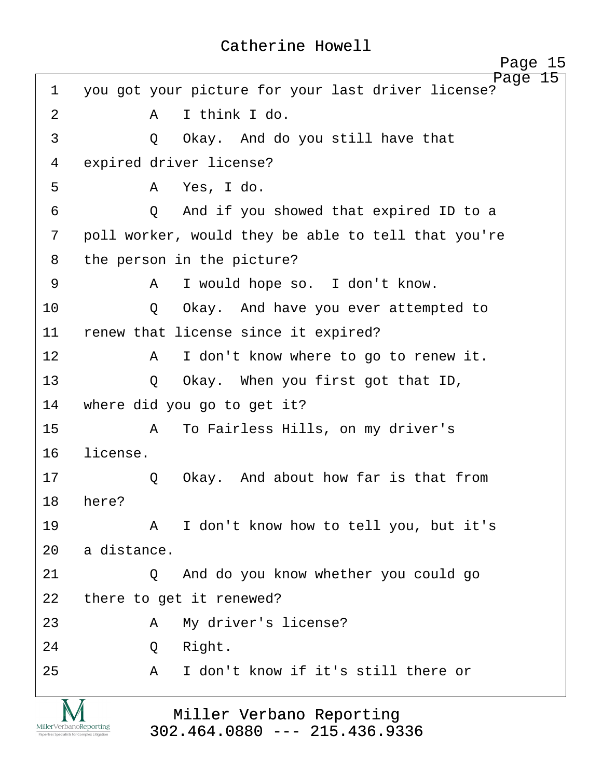<span id="page-15-0"></span>

|    | 15<br>Page                                                    |
|----|---------------------------------------------------------------|
| 1  | Page 15<br>you got your picture for your last driver license? |
| 2  | I think I do.<br>A                                            |
| 3  | Okay. And do you still have that<br>$\circ$                   |
| 4  | expired driver license?                                       |
| 5  | A Yes, I do.                                                  |
| 6  | And if you showed that expired ID to a<br>$\circ$             |
| 7  | poll worker, would they be able to tell that you're           |
| 8  | the person in the picture?                                    |
| 9  | I would hope so. I don't know.<br>A                           |
| 10 | Okay. And have you ever attempted to<br>$\circ$               |
| 11 | renew that license since it expired?                          |
| 12 | I don't know where to go to renew it.<br>A                    |
| 13 | Okay. When you first got that ID,<br>Q                        |
| 14 | where did you go to get it?                                   |
| 15 | To Fairless Hills, on my driver's<br>A                        |
| 16 | license.                                                      |
| 17 | Okay. And about how far is that from<br>Q                     |
| 18 | here?                                                         |
| 19 | A I don't know how to tell you, but it's                      |
| 20 | a distance.                                                   |
| 21 | And do you know whether you could go<br>$\circ$               |
| 22 | there to get it renewed?                                      |
| 23 | My driver's license?<br>A                                     |
| 24 | Right.<br>Q                                                   |
| 25 | I don't know if it's still there or<br>$\mathbb A$            |
|    |                                                               |
|    | Miller Verbano Reporting                                      |

# Miller Verbano Reporting [302.464.0880 --- 215.436.9336](http://www.miller-verbano.com)

 $\underbrace{\text{MillerVerbanoReporting}}_{\text{Paperless Specialists for Complex Litigation}}$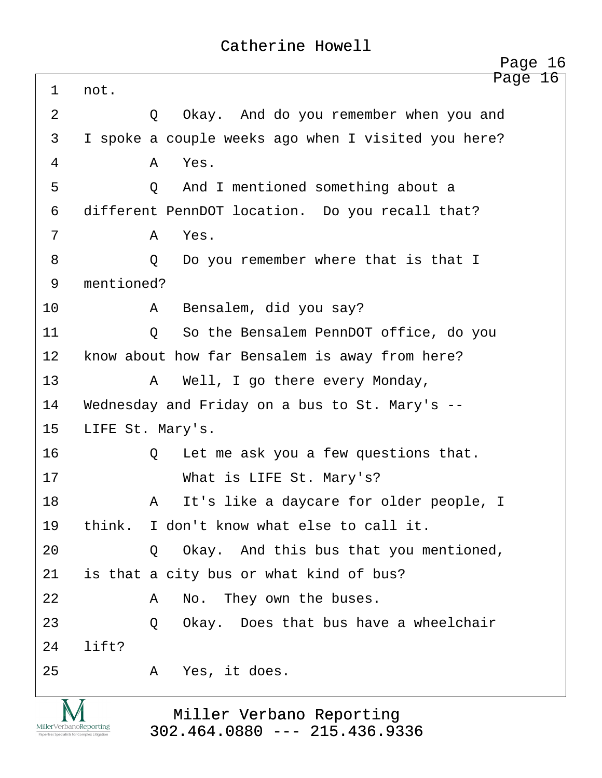<span id="page-16-0"></span>

|                | Page 16                                             |
|----------------|-----------------------------------------------------|
| 1              | Page 16<br>not.                                     |
| $\overline{2}$ | Okay. And do you remember when you and<br>Q         |
| 3              | I spoke a couple weeks ago when I visited you here? |
| 4              | Yes.<br>A                                           |
| 5              | And I mentioned something about a<br>$\circ$        |
| 6              | different PennDOT location. Do you recall that?     |
| 7              | Yes.<br>A                                           |
| 8              | Do you remember where that is that I<br>Q           |
| 9              | mentioned?                                          |
| 10             | Bensalem, did you say?<br>A                         |
| 11             | So the Bensalem PennDOT office, do you<br>Q         |
| 12             | know about how far Bensalem is away from here?      |
| 13             | Well, I go there every Monday,<br>$\mathbf{A}$      |
| 14             | Wednesday and Friday on a bus to St. Mary's --      |
| 15             | LIFE St. Mary's.                                    |
| 16             | Let me ask you a few questions that.<br>Q           |
| 17             | What is LIFE St. Mary's?                            |
| 18             | It's like a daycare for older people, I<br>A        |
| 19             | I don't know what else to call it.<br>think.        |
| 20             | Okay. And this bus that you mentioned,<br>$\circ$   |
| 21             | is that a city bus or what kind of bus?             |
| 22             | No. They own the buses.<br>A                        |
| 23             | Okay. Does that bus have a wheelchair<br>Q          |
| 24             | lift?                                               |
| 25             | Yes, it does.<br>A                                  |
|                |                                                     |

**IVI**  $\underset{\text{Paperless Specialists for Complex Litigation}}{\text{MillerVerbanoReporting}}$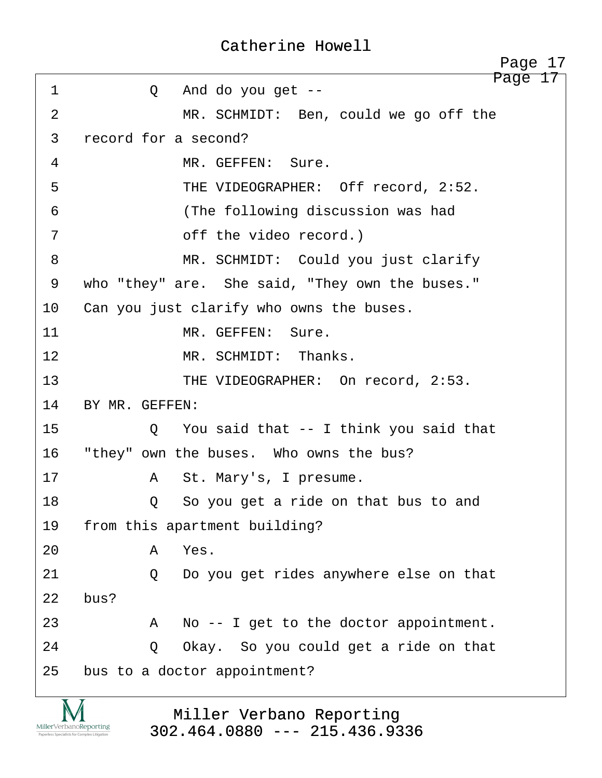<span id="page-17-0"></span>Page 17 ·1· · · · · ·Q· ·And do you get -- 2 MR. SCHMIDT: Ben, could we go off the 3 record for a second? 4 MR. GEFFEN: Sure. ·5· · · · · · · ·THE VIDEOGRAPHER:· Off record, 2:52. ·6· · · · · · · ·(The following discussion was had 7 · · · · · off the video record.) ·8· · · · · · · ·MR. SCHMIDT:· Could you just clarify 9 who "they" are. She said, "They own the buses." 10 Can you just clarify who owns the buses. 11 MR. GEFFEN: Sure. 12 **MR. SCHMIDT:** Thanks. 13· · · · · · · ·THE VIDEOGRAPHER:· On record, 2:53. 14 BY MR. GEFFEN: 15· · · · · ·Q· ·You said that -- I think you said that 16 "they" own the buses. Who owns the bus? 17· · · · · ·A· ·St. Mary's, I presume. 18· · · · · ·Q· ·So you get a ride on that bus to and 19 from this apartment building? 20· · · · · ·A· ·Yes. 21· · · · · ·Q· ·Do you get rides anywhere else on that  $22$  bus? 23 A No -- I get to the doctor appointment. 24· · · · · ·Q· ·Okay.· So you could get a ride on that 25 bus to a doctor appointment? Page 17

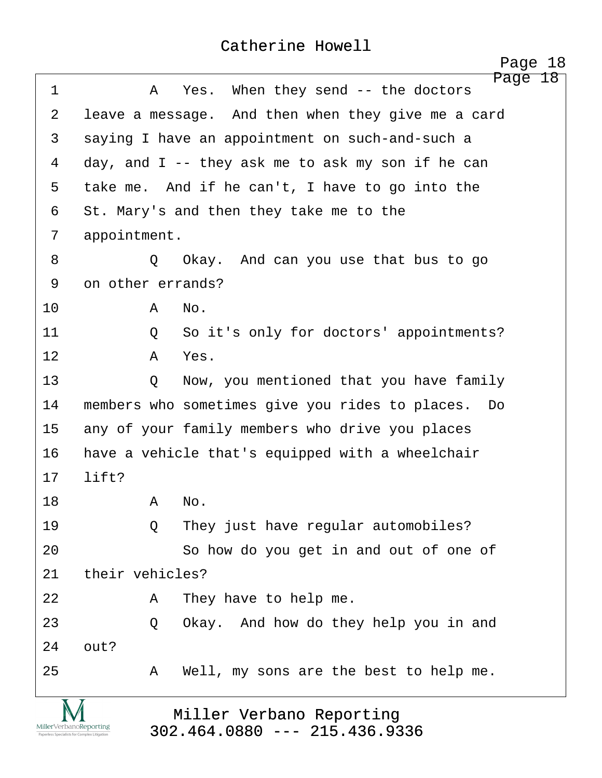<span id="page-18-0"></span>

|                                                                        |                   | 18<br>Page                                                  |
|------------------------------------------------------------------------|-------------------|-------------------------------------------------------------|
| $\mathbf 1$                                                            | A                 | Page 18<br>When they send $-$ the doctors<br>Yes.           |
| 2                                                                      |                   | leave a message. And then when they give me a card          |
| 3                                                                      |                   | saying I have an appointment on such-and-such a             |
| 4                                                                      |                   | day, and $I$ -- they ask me to ask my son if he can         |
| 5                                                                      |                   | take me. And if he can't, I have to go into the             |
| 6                                                                      |                   | St. Mary's and then they take me to the                     |
| 7                                                                      | appointment.      |                                                             |
| 8                                                                      | $\circ$           | Okay. And can you use that bus to go                        |
| 9                                                                      | on other errands? |                                                             |
| 10                                                                     | A                 | No.                                                         |
| 11                                                                     | Q                 | So it's only for doctors' appointments?                     |
| 12                                                                     | Α                 | Yes.                                                        |
| 13                                                                     | Q                 | Now, you mentioned that you have family                     |
| 14                                                                     |                   | members who sometimes give you rides to places.<br>Do       |
| 15                                                                     |                   | any of your family members who drive you places             |
| 16                                                                     |                   | have a vehicle that's equipped with a wheelchair            |
| 17                                                                     | lift?             |                                                             |
| 18                                                                     | A                 | No.                                                         |
| 19                                                                     | $\circ$           | They just have regular automobiles?                         |
| 20                                                                     |                   | So how do you get in and out of one of                      |
| 21                                                                     | their vehicles?   |                                                             |
| 22                                                                     | Α                 | They have to help me.                                       |
| 23                                                                     | Q                 | Okay. And how do they help you in and                       |
| 24                                                                     | out?              |                                                             |
| 25                                                                     | A                 | Well, my sons are the best to help me.                      |
| MillerVerbanoReporting<br>Paperless Specialists for Complex Litigation |                   | Miller Verbano Reporting<br>$302.464.0880$ --- 215.436.9336 |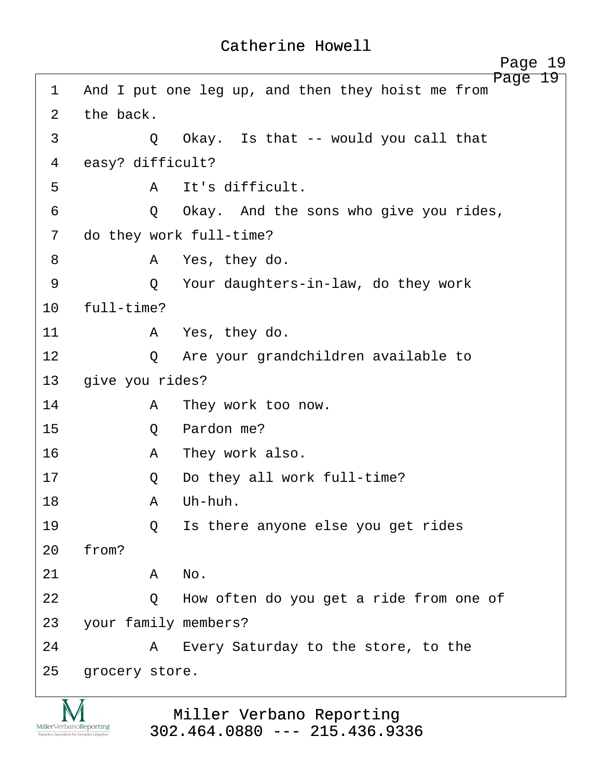<span id="page-19-0"></span>

|                |                         | Page 19                                           |
|----------------|-------------------------|---------------------------------------------------|
| 1              |                         | And I put one leg up, and then they hoist me from |
| $\overline{2}$ | the back.               |                                                   |
| 3              | Q                       | Okay. Is that -- would you call that              |
| 4              | easy? difficult?        |                                                   |
| 5              | A                       | It's difficult.                                   |
| 6              | Q                       | Okay. And the sons who give you rides,            |
| 7              | do they work full-time? |                                                   |
| 8              | A                       | Yes, they do.                                     |
| 9              | Q                       | Your daughters-in-law, do they work               |
| 10             | full-time?              |                                                   |
| 11             |                         | A Yes, they do.                                   |
| 12             | $\circ$                 | Are your grandchildren available to               |
| 13             | give you rides?         |                                                   |
| 14             | A                       | They work too now.                                |
| 15             | Q                       | Pardon me?                                        |
| 16             | A                       | They work also.                                   |
| 17             | Q                       | Do they all work full-time?                       |
| 18             | Α                       | Uh-huh.                                           |
| 19             | $\circ$                 | Is there anyone else you get rides                |
| 20             | from?                   |                                                   |
| 21             | No.<br>A                |                                                   |
| 22             | Q                       | How often do you get a ride from one of           |
| 23             | your family members?    |                                                   |
| 24             | A                       | Every Saturday to the store, to the               |
| 25             | grocery store.          |                                                   |
|                |                         |                                                   |

TAT  $\underset{\text{Paperless Specialists for Complex Litigation}}{\text{MillerVerbanoReporting}}$ 

## Miller Verbano Reporting [302.464.0880 --- 215.436.9336](http://www.miller-verbano.com)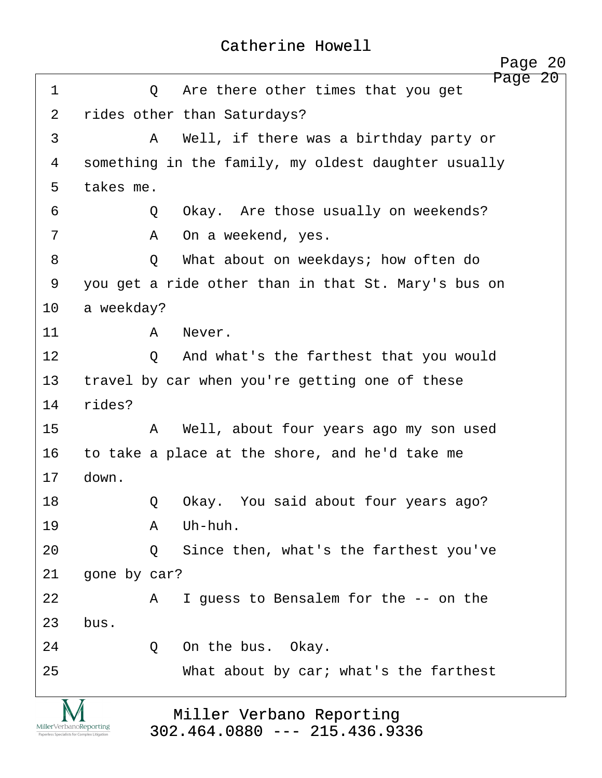<span id="page-20-0"></span>Page 20 ·1· · · · · ·Q· ·Are there other times that you get 2 rides other than Saturdays? ·3· · · · · ·A· ·Well, if there was a birthday party or 4 something in the family, my oldest daughter usually 5 takes me. 6 · · · · · · · O · · Okay. Are those usually on weekends? 7 · · · · · · · A · On a weekend, yes. ·8· · · · · ·Q· ·What about on weekdays; how often do 9 you get a ride other than in that St. Mary's bus on 10 a weekday? 11· · · · · ·A· ·Never. 12 0 And what's the farthest that you would 13 travel by car when you're getting one of these 14 rides? 15· · · · · ·A· ·Well, about four years ago my son used 16 to take a place at the shore, and he'd take me 17 down. 18· · · · · ·Q· ·Okay.· You said about four years ago? 19· · · · · ·A· ·Uh-huh. 20 · · · · · Q · Since then, what's the farthest you've 21 gone by car? 22 A I guess to Bensalem for the -- on the  $23$  bus. 24· · · · · ·Q· ·On the bus.· Okay. 25· · · · · · · ·What about by car; what's the farthest Miller Verbano Reporting MillerVerbanoReporting

[302.464.0880 --- 215.436.9336](http://www.miller-verbano.com) 

http://www.yeslaw.net/help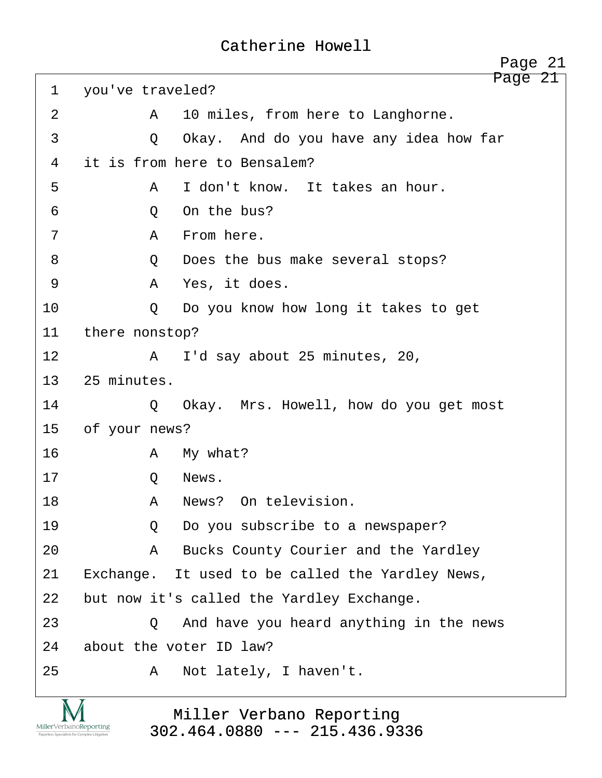<span id="page-21-0"></span>Page 21 1 you've traveled? 2 A 10 miles, from here to Langhorne. 3 · · · · · · O · Okay. And do you have any idea how far 4 it is from here to Bensalem? ·5· · · · · ·A· ·I don't know.· It takes an hour. ·6· · · · · ·Q· ·On the bus? ·7· · · · · ·A· ·From here. ·8· · · · · ·Q· ·Does the bus make several stops? ·9· · · · · ·A· ·Yes, it does. 10 · · · · Q · Do you know how long it takes to get 11 there nonstop? 12 A I'd say about 25 minutes, 20, 13 25 minutes. 14 · O Okay. Mrs. Howell, how do you get most 15 of your news? 16· · · · · ·A· ·My what? 17 O News. 18· · · · · ·A· ·News?· On television. 19 · · · · · Q · Do you subscribe to a newspaper? 20· · · · · ·A· ·Bucks County Courier and the Yardley 21 Exchange. It used to be called the Yardley News, 22 but now it's called the Yardley Exchange. 23· · · · · ·Q· ·And have you heard anything in the news 24 about the voter ID law? 25· · · · · ·A· ·Not lately, I haven't. Page 21

MillerVerbanoReporting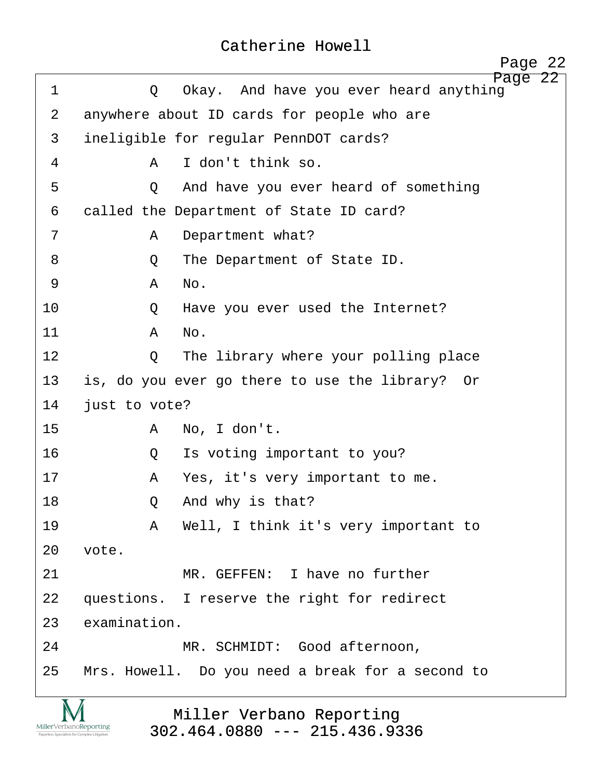<span id="page-22-0"></span>

| $\mathbf 1$    | Page 22<br>Okay. And have you ever heard anything<br>Q |  |
|----------------|--------------------------------------------------------|--|
| $\overline{2}$ | anywhere about ID cards for people who are             |  |
| 3              | ineligible for regular PennDOT cards?                  |  |
| 4              | I don't think so.<br>A                                 |  |
| 5              | And have you ever heard of something<br>Q              |  |
| 6              | called the Department of State ID card?                |  |
| 7              | Department what?<br>A                                  |  |
| 8              | The Department of State ID.<br>Q                       |  |
| $\mathsf 9$    | No.<br>Α                                               |  |
| 10             | Have you ever used the Internet?<br>Q                  |  |
| 11             | No.<br>A                                               |  |
| 12             | The library where your polling place<br>$\circ$        |  |
| 13             | is, do you ever go there to use the library? Or        |  |
| 14             | just to vote?                                          |  |
| 15             | No, I don't.<br>Α                                      |  |
| 16             | Is voting important to you?<br>Q                       |  |
| 17             | Yes, it's very important to me.<br>A                   |  |
| 18             | And why is that?<br>Q                                  |  |
| 19             | Well, I think it's very important to<br>A              |  |
| 20             | vote.                                                  |  |
| 21             | MR. GEFFEN: I have no further                          |  |
| 22             | questions. I reserve the right for redirect            |  |
| 23             | examination.                                           |  |
| 24             | MR. SCHMIDT: Good afternoon,                           |  |
| 25             | Mrs. Howell. Do you need a break for a second to       |  |
|                |                                                        |  |

Miller Verbano Reporting [302.464.0880 --- 215.436.9336](http://www.miller-verbano.com) 

IVI  $\underset{\text{Paperless Specialists for Complex Litigation}}{\text{MillerVerbanoReporting}}$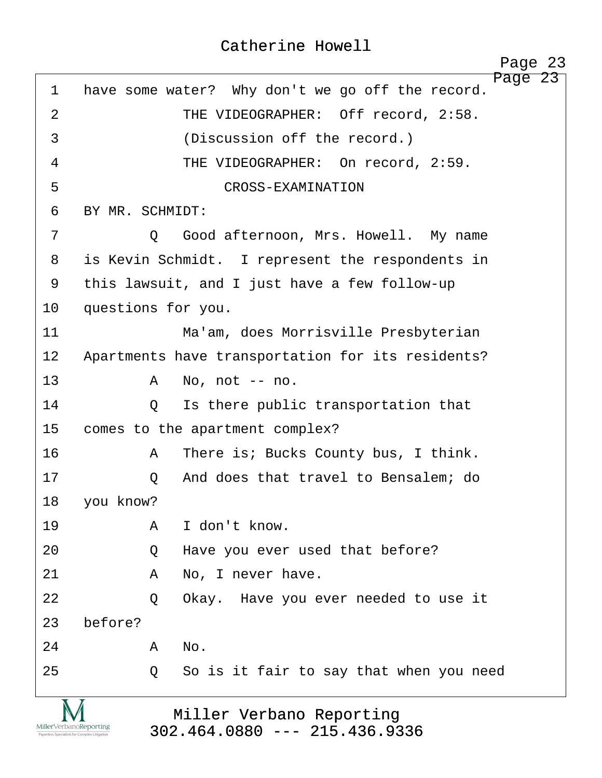<span id="page-23-0"></span>

|             | Page 23                                                     |
|-------------|-------------------------------------------------------------|
| $\mathbf 1$ | Page 23<br>have some water? Why don't we go off the record. |
| 2           | THE VIDEOGRAPHER: Off record, 2:58.                         |
| 3           | (Discussion off the record.)                                |
| 4           | THE VIDEOGRAPHER: On record, 2:59.                          |
| 5           | CROSS-EXAMINATION                                           |
| 6           | BY MR. SCHMIDT:                                             |
| 7           | Good afternoon, Mrs. Howell. My name<br>$\circ$             |
| 8           | is Kevin Schmidt. I represent the respondents in            |
| 9           | this lawsuit, and I just have a few follow-up               |
| 10          | questions for you.                                          |
| 11          | Ma'am, does Morrisville Presbyterian                        |
| 12          | Apartments have transportation for its residents?           |
| 13          | A<br>No, not -- no.                                         |
| 14          | Is there public transportation that<br>Q                    |
| 15          | comes to the apartment complex?                             |
| 16          | There is; Bucks County bus, I think.<br>A                   |
| 17          | And does that travel to Bensalem; do<br>Q                   |
| 18          | you know?                                                   |
| 19          | I don't know.<br>A                                          |
| 20          | Have you ever used that before?<br>Q                        |
| 21          | No, I never have.<br>Α                                      |
| 22          | Okay. Have you ever needed to use it<br>Q                   |
| 23          | before?                                                     |
| 24          | No.<br>A                                                    |
| 25          | So is it fair to say that when you need<br>Q                |
|             |                                                             |

IVI  $\underset{\text{Paperless Specialists for Complex Litigation}}{\text{MillerVerbanoReporting}}$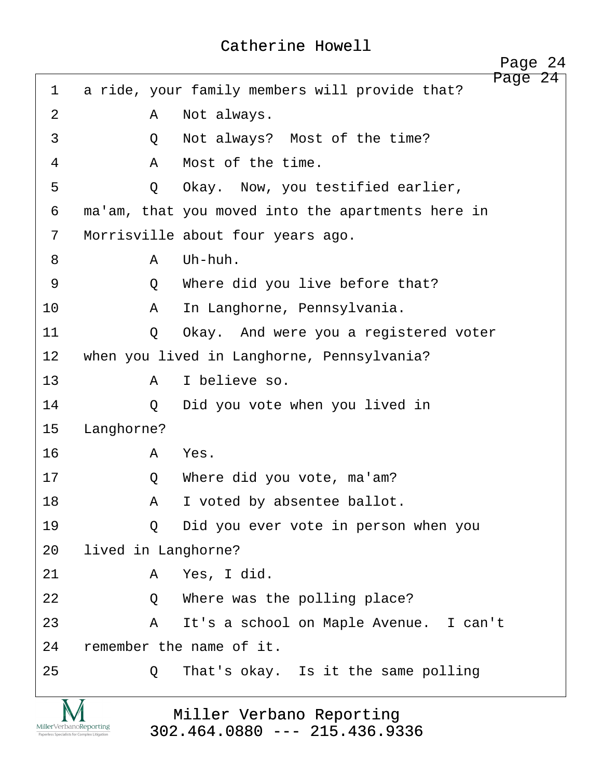<span id="page-24-0"></span>

|             |                     | Page 24                                                   |
|-------------|---------------------|-----------------------------------------------------------|
| $\mathbf 1$ |                     | Page 24<br>a ride, your family members will provide that? |
| 2           | Α                   | Not always.                                               |
| 3           | Q                   | Not always? Most of the time?                             |
| 4           | $\mathbb A$         | Most of the time.                                         |
| 5           | Q                   | Okay. Now, you testified earlier,                         |
| 6           |                     | ma'am, that you moved into the apartments here in         |
| 7           |                     | Morrisville about four years ago.                         |
| 8           | $\mathsf{A}$        | Uh-huh.                                                   |
| 9           | Q                   | Where did you live before that?                           |
| 10          | A                   | In Langhorne, Pennsylvania.                               |
| 11          | Q                   | Okay. And were you a registered voter                     |
| 12          |                     | when you lived in Langhorne, Pennsylvania?                |
| 13          | $\mathbb A$         | I believe so.                                             |
| 14          | Q                   | Did you vote when you lived in                            |
| 15          | Langhorne?          |                                                           |
| 16          | A                   | Yes.                                                      |
| 17          | Q                   | Where did you vote, ma'am?                                |
| 18          | A                   | I voted by absentee ballot.                               |
| 19          | $\circ$             | Did you ever vote in person when you                      |
| 20          | lived in Langhorne? |                                                           |
| 21          | A                   | Yes, I did.                                               |
| 22          | Q                   | Where was the polling place?                              |
| 23          | A                   | It's a school on Maple Avenue. I can't                    |
| 24          |                     | remember the name of it.                                  |
| 25          | Q                   | That's okay. Is it the same polling                       |
|             |                     |                                                           |

 $\underset{\substack{\text{MillerVerbanoReporting} \\ \text{Propertiess Specilists for Complex Litigation} }}{\sum_{\substack{\text{N}}\qquad \text{Specless Specialists for Complex Litigation} }}$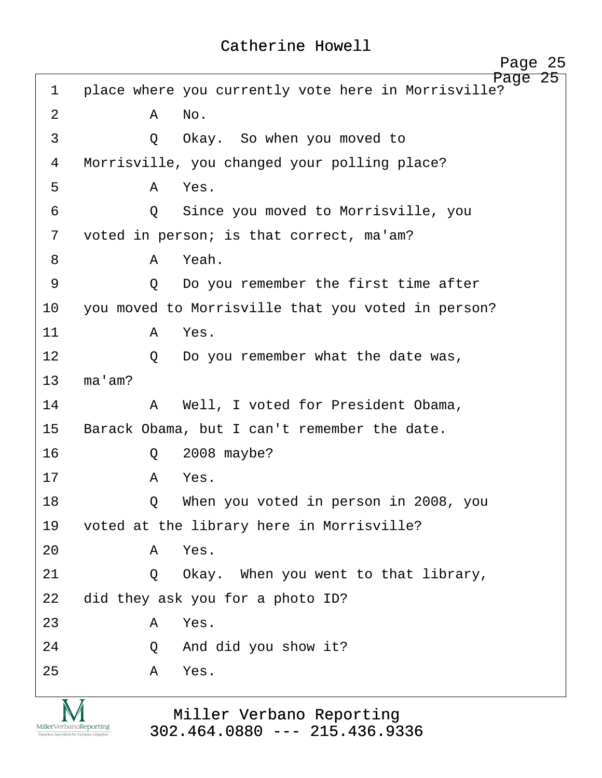<span id="page-25-0"></span>

|             |              | 25<br>Page                                                        |
|-------------|--------------|-------------------------------------------------------------------|
| $\mathbf 1$ |              | Page<br>25<br>place where you currently vote here in Morrisville? |
| 2           | A            | No.                                                               |
| 3           | $\circ$      | Okay. So when you moved to                                        |
| 4           |              | Morrisville, you changed your polling place?                      |
| 5           | $\mathsf{A}$ | Yes.                                                              |
| 6           | $\circ$      | Since you moved to Morrisville, you                               |
| 7           |              | voted in person; is that correct, ma'am?                          |
| 8           | $\mathsf{A}$ | Yeah.                                                             |
| 9           | $\circ$      | Do you remember the first time after                              |
| 10          |              | you moved to Morrisville that you voted in person?                |
| 11          | A            | Yes.                                                              |
| 12          | $\circ$      | Do you remember what the date was,                                |
| 13          | ma'am?       |                                                                   |
| 14          | A            | Well, I voted for President Obama,                                |
| 15          |              | Barack Obama, but I can't remember the date.                      |
| 16          | Q            | 2008 maybe?                                                       |
| 17          | Α            | Yes.                                                              |
| 18          | Q            | When you voted in person in 2008, you                             |
| 19          |              | voted at the library here in Morrisville?                         |
| 20          | A            | Yes.                                                              |
| 21          | Q            | Okay. When you went to that library,                              |
| 22          |              | did they ask you for a photo ID?                                  |
| 23          | Α            | Yes.                                                              |
| 24          | Q            | And did you show it?                                              |
| 25          | Α            | Yes.                                                              |
|             |              |                                                                   |

IVI  $\underset{\text{Paperless Specialists for Complex Litigation}}{\text{MillerVerbanoReporting}}$ 

Miller Verbano Reporting [302.464.0880 --- 215.436.9336](http://www.miller-verbano.com)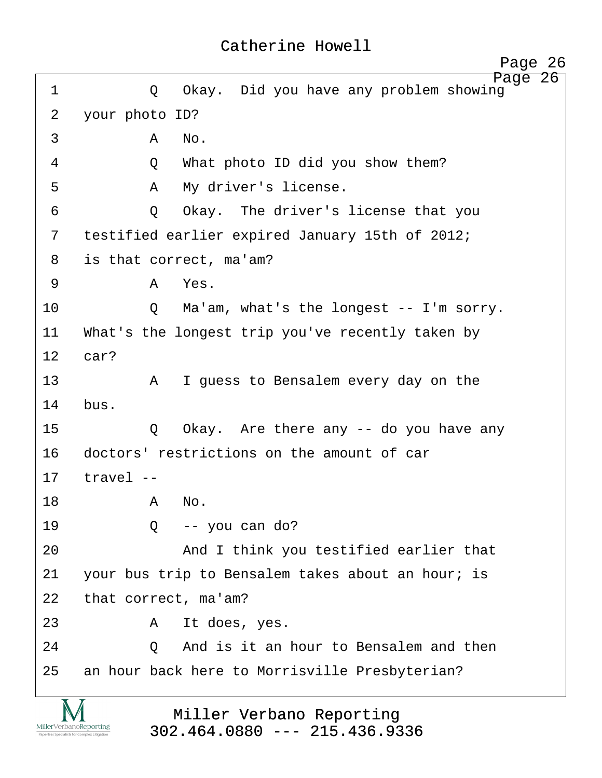<span id="page-26-0"></span>Page 26 ·1· · · · · ·Q· ·Okay.· Did you have any problem showing 2 vour photo ID?  $\overline{3}$   $\overline{A}$   $\overline{N}$ o. 4 · · · · · Q · · What photo ID did you show them? ·5· · · · · ·A· ·My driver's license. 6 · · · · · Q · Okay. The driver's license that you 7 testified earlier expired January 15th of 2012; 8 is that correct, ma'am? ·9· · · · · ·A· ·Yes. 10 Q Ma'am, what's the longest -- I'm sorry. 11 What's the longest trip you've recently taken by 12 car? 13· · · · · ·A· ·I guess to Bensalem every day on the 14 bus. 15· · · · · ·Q· ·Okay.· Are there any -- do you have any 16 doctors' restrictions on the amount of car  $17$  travel  $-$ 18· · · · · ·A· ·No. 19· · · · · ·Q· ·-- you can do? 20 and I think you testified earlier that 21 vour bus trip to Bensalem takes about an hour; is 22 that correct, ma'am? 23· · · · · ·A· ·It does, yes. 24 0 And is it an hour to Bensalem and then 25 an hour back here to Morrisville Presbyterian? Page 26

> Miller Verbano Reporting [302.464.0880 --- 215.436.9336](http://www.miller-verbano.com)

MillerVerbanoReporting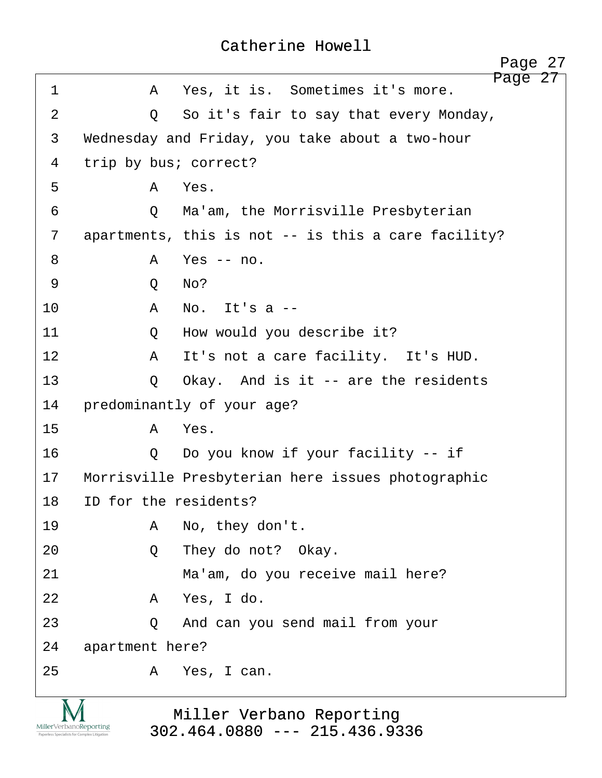<span id="page-27-0"></span>

|                 |                       | Page 27                                             |
|-----------------|-----------------------|-----------------------------------------------------|
| 1               | A                     | Page 27<br>Yes, it is. Sometimes it's more.         |
| $\overline{2}$  | Q                     | So it's fair to say that every Monday,              |
| $\mathfrak{Z}$  |                       | Wednesday and Friday, you take about a two-hour     |
| 4               | trip by bus; correct? |                                                     |
| 5               | A                     | Yes.                                                |
| 6               | $\circ$               | Ma'am, the Morrisville Presbyterian                 |
| 7               |                       | apartments, this is not -- is this a care facility? |
| 8               | A                     | Yes $--$ no.                                        |
| 9               | Q                     | No?                                                 |
| 10              | A                     | No. It's $a$ --                                     |
| 11              | Q                     | How would you describe it?                          |
| 12 <sup>°</sup> | A                     | It's not a care facility. It's HUD.                 |
| 13              | Q                     | Okay. And is it $-$ are the residents               |
| 14              |                       | predominantly of your age?                          |
| 15              | A                     | Yes.                                                |
| 16              | Q                     | Do you know if your facility -- if                  |
| 17              |                       | Morrisville Presbyterian here issues photographic   |
| 18              | ID for the residents? |                                                     |
| 19              | A                     | No, they don't.                                     |
| 20              | Q                     | They do not? Okay.                                  |
| 21              |                       | Ma'am, do you receive mail here?                    |
| 22              | A                     | Yes, I do.                                          |
| 23              | Q                     | And can you send mail from your                     |
| 24              | apartment here?       |                                                     |
| 25              | Α                     | Yes, I can.                                         |
|                 |                       |                                                     |

Miller Verbano Reporting [302.464.0880 --- 215.436.9336](http://www.miller-verbano.com) 

IVI  $\underset{\text{Paperless Specialists for Complex Litigation}}{\text{MillerVerbanoReporting}}$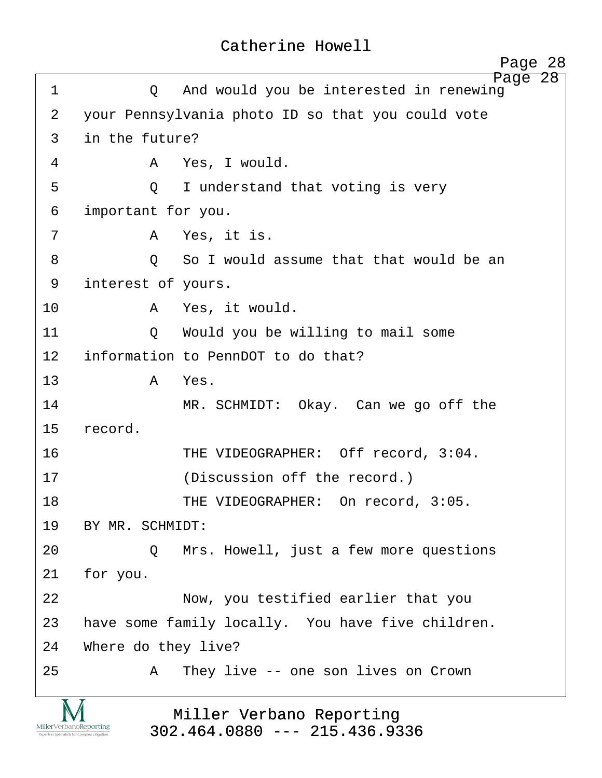| Catherine Howell |  |
|------------------|--|
|------------------|--|

<span id="page-28-0"></span>

|                                                                        | Page 28                                                     |
|------------------------------------------------------------------------|-------------------------------------------------------------|
| $\mathbf 1$                                                            | Page 28<br>And would you be interested in renewing<br>Q     |
| 2                                                                      | your Pennsylvania photo ID so that you could vote           |
| 3                                                                      | in the future?                                              |
| 4                                                                      | Yes, I would.<br>A                                          |
| 5                                                                      | I understand that voting is very<br>$\circ$                 |
| 6                                                                      | important for you.                                          |
| 7                                                                      | Yes, it is.<br>A                                            |
| 8                                                                      | So I would assume that that would be an<br>$\circ$          |
| 9                                                                      | interest of yours.                                          |
| 10                                                                     | A Yes, it would.                                            |
| 11                                                                     | Would you be willing to mail some<br>$\circ$                |
| 12                                                                     | information to PennDOT to do that?                          |
| 13                                                                     | Yes.<br>A                                                   |
| 14                                                                     | MR. SCHMIDT: Okay. Can we go off the                        |
| 15                                                                     | record.                                                     |
| 16                                                                     | THE VIDEOGRAPHER: Off record, 3:04.                         |
| 17                                                                     | (Discussion off the record.)                                |
| 18                                                                     | THE VIDEOGRAPHER: On record, 3:05.                          |
| 19                                                                     | BY MR. SCHMIDT:                                             |
| 20                                                                     | Mrs. Howell, just a few more questions<br>$\circ$           |
| 21                                                                     | for you.                                                    |
| 22                                                                     | Now, you testified earlier that you                         |
| 23                                                                     | have some family locally. You have five children.           |
| 24                                                                     | Where do they live?                                         |
| 25                                                                     | They live -- one son lives on Crown<br>A                    |
| MillerVerbanoReporting<br>Paperless Specialists for Complex Litigation | Miller Verbano Reporting<br>$302.464.0880$ --- 215.436.9336 |

http://www.yeslaw.net/help

.yeslaw.net/help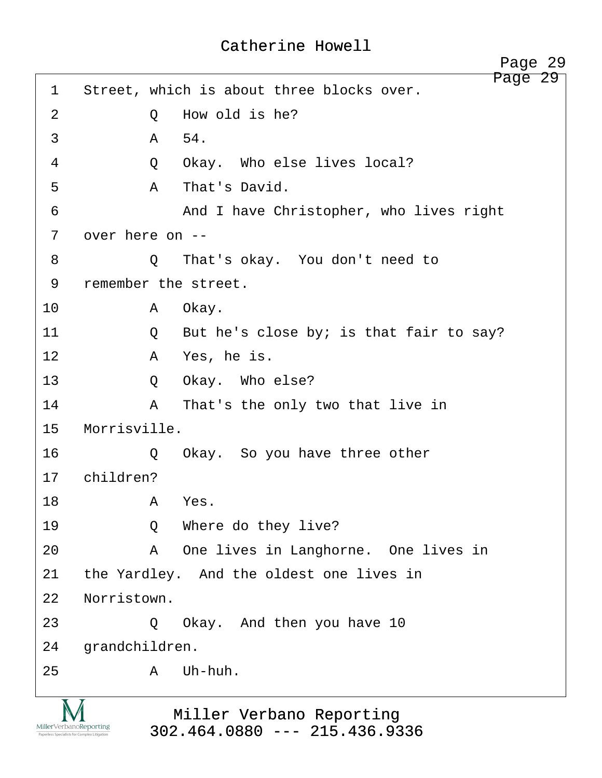<span id="page-29-0"></span>Page 29 1 Street, which is about three blocks over. 2 0 How old is he?  $\overline{3}$   $\overline{A}$   $\overline{54}$ . ·4· · · · · ·Q· ·Okay.· Who else lives local? ·5· · · · · ·A· ·That's David. 6 · · · · · · · · · And I have Christopher, who lives right 7 over here on --·8· · · · · ·Q· ·That's okay.· You don't need to 9 remember the street. 10· · · · · ·A· ·Okay. 11· · · · · ·Q· ·But he's close by; is that fair to say? 12 A Yes, he is. 13 · · · · · · · · Okay. Who else? 14· · · · · ·A· ·That's the only two that live in 15 Morrisville. 16· · · · · ·Q· ·Okay.· So you have three other 17 children? 18· · · · · ·A· ·Yes. 19· · · · · ·Q· ·Where do they live? 20 · · · · · A · One lives in Langhorne. One lives in 21 the Yardley. And the oldest one lives in 22 Norristown. 23 · 20 Okay. And then you have 10 24 grandchildren. 25 · · · · · · A · Uh-huh.

MillerVerbanoReporting

Miller Verbano Reporting [302.464.0880 --- 215.436.9336](http://www.miller-verbano.com)  http://www.yeslaw.net/help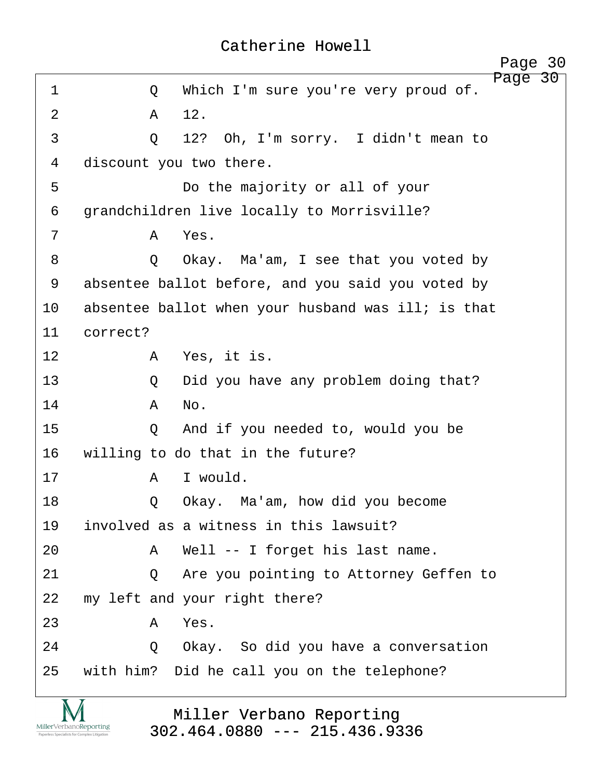<span id="page-30-0"></span>

|             | Page 30                                              |
|-------------|------------------------------------------------------|
| $\mathbf 1$ | Page 30<br>Which I'm sure you're very proud of.<br>Q |
| 2           | 12.<br>A                                             |
| 3           | 12? Oh, I'm sorry. I didn't mean to<br>Q             |
| 4           | discount you two there.                              |
| 5           | Do the majority or all of your                       |
| 6           | grandchildren live locally to Morrisville?           |
| 7           | Yes.<br>A                                            |
| 8           | Okay. Ma'am, I see that you voted by<br>Q            |
| 9           | absentee ballot before, and you said you voted by    |
| 10          | absentee ballot when your husband was ill; is that   |
| 11          | correct?                                             |
| 12          | Yes, it is.<br>Α                                     |
| 13          | Did you have any problem doing that?<br>Q            |
| 14          | No.<br>A                                             |
| 15          | And if you needed to, would you be<br>Q              |
| 16          | willing to do that in the future?                    |
| 17          | I would.<br>Α                                        |
| 18          | Okay. Ma'am, how did you become<br>Q                 |
| 19          | involved as a witness in this lawsuit?               |
| 20          | Well -- I forget his last name.<br>A                 |
| 21          | Are you pointing to Attorney Geffen to<br>$\circ$    |
| 22          | my left and your right there?                        |
| 23          | A<br>Yes.                                            |
| 24          | Okay. So did you have a conversation<br>Q            |
| 25          | with him? Did he call you on the telephone?          |

<u>IVI</u>  $\underset{\text{Paperless Specialists for Complex Litigation}}{\text{MillerVerbanoReporting}}$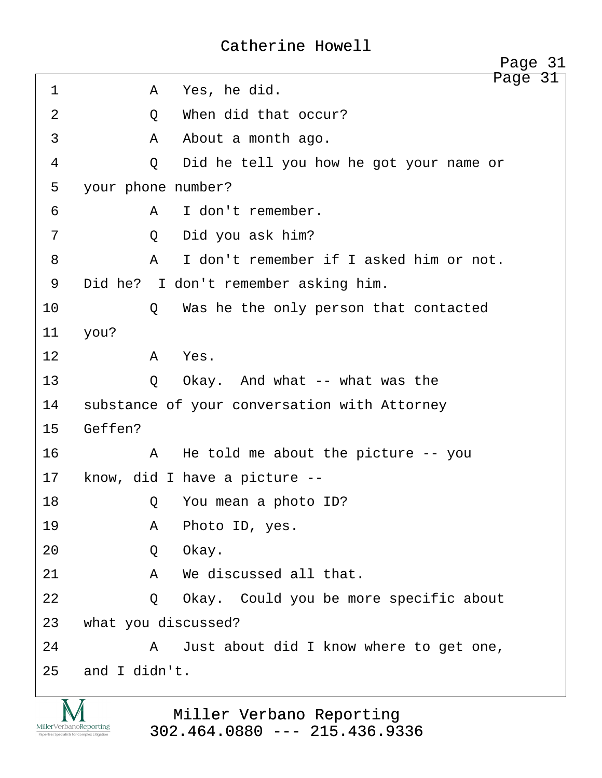<span id="page-31-0"></span>Page 31 ·1· · · · · ·A· ·Yes, he did. 2 0 When did that occur? ·3· · · · · ·A· ·About a month ago. ·4· · · · · ·Q· ·Did he tell you how he got your name or 5 your phone number? ·6· · · · · ·A· ·I don't remember. ·7· · · · · ·Q· ·Did you ask him? ·8· · · · · ·A· ·I don't remember if I asked him or not. 9 Did he? I don't remember asking him. 10 0 Was he the only person that contacted 11 you? 12 a Yes. 13 · · · · · · · O · · Okay. And what -- what was the 14 substance of your conversation with Attorney 15 Geffen? 16· · · · · ·A· ·He told me about the picture -- you 17 know, did I have a picture --18· · · · · ·Q· ·You mean a photo ID? 19· · · · · ·A· ·Photo ID, yes. 20· · · · · ·Q· ·Okay. 21· · · · · ·A· ·We discussed all that. 22 · · · · · Q · Okay. Could you be more specific about 23 what you discussed? 24· · · · · ·A· ·Just about did I know where to get one,  $25$  and I didn't. Page 31

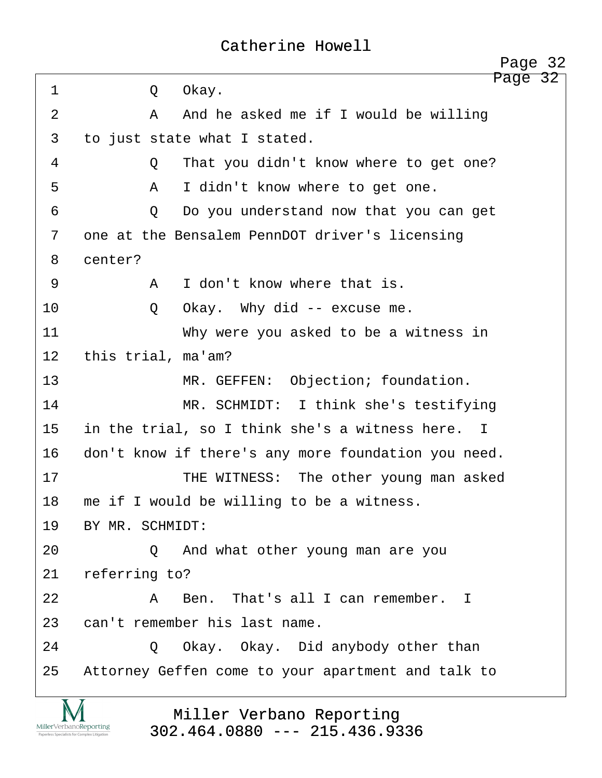<span id="page-32-0"></span>Page 32 ·1· · · · · ·Q· ·Okay. ·2· · · · · ·A· ·And he asked me if I would be willing 3 to just state what I stated. ·4· · · · · ·Q· ·That you didn't know where to get one? ·5· · · · · ·A· ·I didn't know where to get one. 6 · · · · · · Q · Do you understand now that you can get 7 one at the Bensalem PennDOT driver's licensing 8 center? ·9· · · · · ·A· ·I don't know where that is. 10 0 Okay. Why did -- excuse me. 11· · · · · · · ·Why were you asked to be a witness in 12 this trial, ma'am? 13 **MR. GEFFEN:** Objection; foundation. 14 MR. SCHMIDT: I think she's testifying 15 in the trial, so I think she's a witness here. I 16 don't know if there's any more foundation you need. 17· · · · · · · ·THE WITNESS:· The other young man asked 18 me if I would be willing to be a witness. 19 BY MR. SCHMIDT: 20 · · · · · Q · And what other young man are you 21 referring to? 22· · · · · ·A· ·Ben.· That's all I can remember. I 23 can't remember his last name. 24 · · · · Q Okay. Okay. Did anybody other than 25 Attorney Geffen come to your apartment and talk to

> Miller Verbano Reporting [302.464.0880 --- 215.436.9336](http://www.miller-verbano.com)

MillerVerbanoReporting

http://www.yeslaw.net/help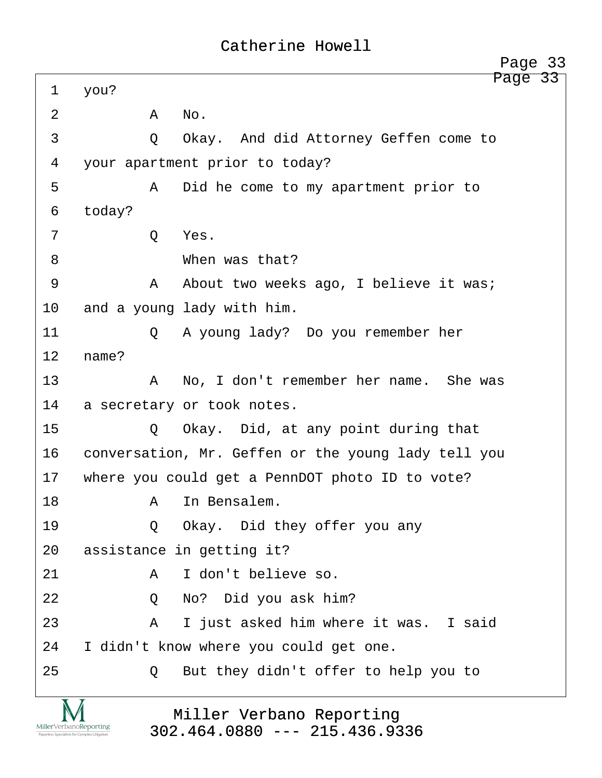<span id="page-33-0"></span>

|                                                                        |                                                             | Page 33 |
|------------------------------------------------------------------------|-------------------------------------------------------------|---------|
| $\mathbf 1$                                                            | you?                                                        | Page 33 |
| $\overline{2}$                                                         | Α<br>No.                                                    |         |
| 3                                                                      | Okay. And did Attorney Geffen come to<br>$\circ$            |         |
| 4                                                                      | your apartment prior to today?                              |         |
| 5                                                                      | Did he come to my apartment prior to<br>A                   |         |
| 6                                                                      | today?                                                      |         |
| 7                                                                      | Q<br>Yes.                                                   |         |
| 8                                                                      | When was that?                                              |         |
| 9                                                                      | About two weeks ago, I believe it was;<br>A                 |         |
| 10                                                                     | and a young lady with him.                                  |         |
| 11                                                                     | A young lady? Do you remember her<br>Q                      |         |
| 12                                                                     | name?                                                       |         |
| 13                                                                     | No, I don't remember her name. She was<br>A                 |         |
| 14                                                                     | a secretary or took notes.                                  |         |
| 15                                                                     | Okay. Did, at any point during that<br>Q                    |         |
| 16                                                                     | conversation, Mr. Geffen or the young lady tell you         |         |
| 17                                                                     | where you could get a PennDOT photo ID to vote?             |         |
| 18                                                                     | In Bensalem.<br>Α                                           |         |
| 19                                                                     | Okay. Did they offer you any<br>Q                           |         |
| 20                                                                     | assistance in getting it?                                   |         |
| 21                                                                     | I don't believe so.<br>A                                    |         |
| 22                                                                     | No? Did you ask him?<br>Q                                   |         |
| 23                                                                     | I just asked him where it was. I said<br>A                  |         |
| 24                                                                     | I didn't know where you could get one.                      |         |
| 25                                                                     | But they didn't offer to help you to<br>Q                   |         |
| MillerVerbanoReporting<br>Paperless Specialists for Complex Litigation | Miller Verbano Reporting<br>$302.464.0880$ --- 215.436.9336 |         |

v.yeslaw.net/help http://www.yeslaw.net/help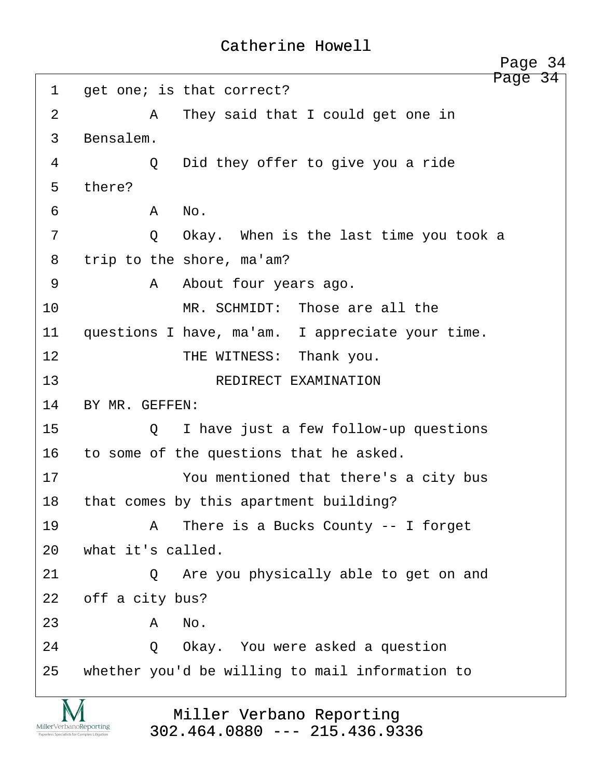<span id="page-34-0"></span>Page 34 1 get one; is that correct? ·2· · · · · ·A· ·They said that I could get one in 3 Bensalem. 4 0 Did they offer to give you a ride 5 there?  $\delta$  **b**  $A$   $\delta$  No. 7 · · · · · Q · Okay. When is the last time you took a 8 trip to the shore, ma'am? ·9· · · · · ·A· ·About four years ago. 10· · · · · · · ·MR. SCHMIDT:· Those are all the 11 questions I have, ma'am. I appreciate your time. 12 **THE WITNESS:** Thank you. 13 REDIRECT EXAMINATION 14 BY MR. GEFFEN: 15 0 I have just a few follow-up questions 16 to some of the questions that he asked. 17 · · · · · · You mentioned that there's a city bus 18 that comes by this apartment building? 19· · · · · ·A· ·There is a Bucks County -- I forget 20 what it's called. 21 0 Are you physically able to get on and 22 off a city bus?  $23$   $A$   $No$ . 24 · 20 Okay. You were asked a question 25 whether you'd be willing to mail information to

> Miller Verbano Reporting [302.464.0880 --- 215.436.9336](http://www.miller-verbano.com)

MillerVerbanoReporting

http://www.yeslaw.net/help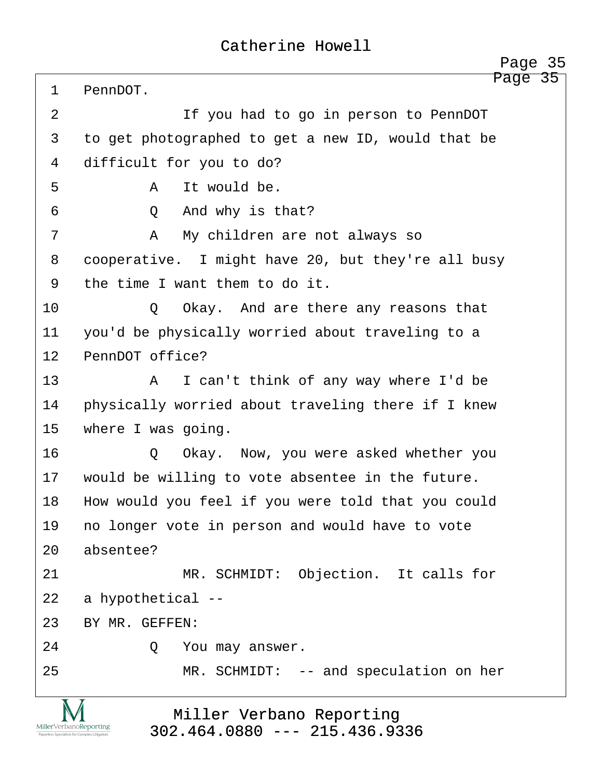<span id="page-35-0"></span>

|             | Page 35                                            |
|-------------|----------------------------------------------------|
| $\mathbf 1$ | Page 35<br>PennDOT.                                |
| 2           | If you had to go in person to PennDOT              |
| 3           | to get photographed to get a new ID, would that be |
| 4           | difficult for you to do?                           |
| 5           | It would be.<br>A                                  |
| 6           | And why is that?<br>Q                              |
| 7           | $\mathbb A$<br>My children are not always so       |
| 8           | cooperative. I might have 20, but they're all busy |
| 9           | the time I want them to do it.                     |
| 10          | Okay. And are there any reasons that<br>$\circ$    |
| 11          | you'd be physically worried about traveling to a   |
| 12          | PennDOT office?                                    |
| 13          | I can't think of any way where I'd be<br>A         |
| 14          | physically worried about traveling there if I knew |
| 15          | where I was going.                                 |
| 16          | Okay. Now, you were asked whether you<br>Q         |
| 17          | would be willing to vote absentee in the future.   |
| 18          | How would you feel if you were told that you could |
| 19          | no longer vote in person and would have to vote    |
| 20          | absentee?                                          |
| 21          | MR. SCHMIDT: Objection. It calls for               |
| 22          | a hypothetical --                                  |
| 23          | BY MR. GEFFEN:                                     |
| 24          | You may answer.<br>Q                               |
| 25          | MR. SCHMIDT: -- and speculation on her             |
|             |                                                    |

Miller Verbano Reporting [302.464.0880 --- 215.436.9336](http://www.miller-verbano.com) 

IVI  $\underset{\text{Paperless Specialists for Complex Litigation}}{\text{MillerVerbanoReporting}}$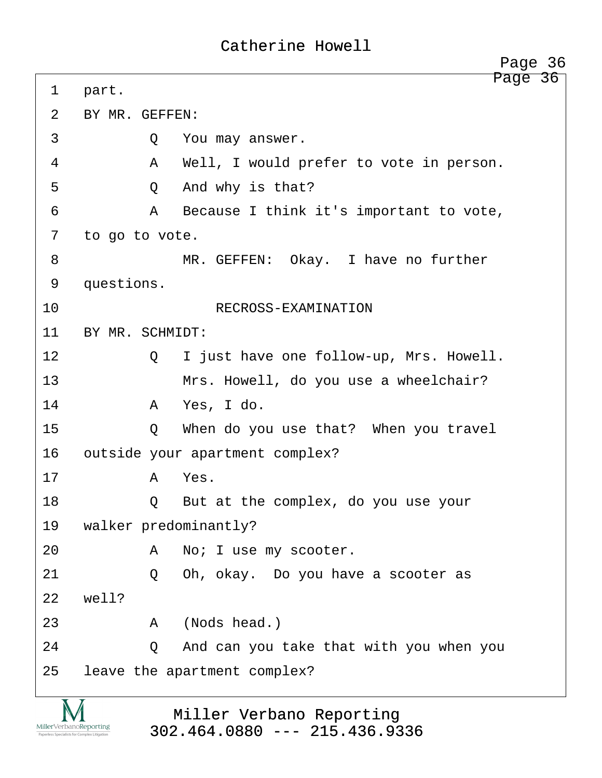<span id="page-36-0"></span>

|    |                                 | Page 36                                 |  |
|----|---------------------------------|-----------------------------------------|--|
| 1  | part.                           | Page 36                                 |  |
| 2  | BY MR. GEFFEN:                  |                                         |  |
| 3  | Q                               | You may answer.                         |  |
| 4  | $\mathsf{A}$                    | Well, I would prefer to vote in person. |  |
| 5  | Q                               | And why is that?                        |  |
| 6  | $\mathbf{A}$                    | Because I think it's important to vote, |  |
| 7  | to go to vote.                  |                                         |  |
| 8  |                                 | MR. GEFFEN: Okay. I have no further     |  |
| 9  | questions.                      |                                         |  |
| 10 |                                 | RECROSS-EXAMINATION                     |  |
| 11 | BY MR. SCHMIDT:                 |                                         |  |
| 12 | Q                               | I just have one follow-up, Mrs. Howell. |  |
| 13 |                                 | Mrs. Howell, do you use a wheelchair?   |  |
| 14 | A                               | Yes, I do.                              |  |
| 15 | Q                               | When do you use that? When you travel   |  |
| 16 | outside your apartment complex? |                                         |  |
| 17 | A                               | Yes.                                    |  |
| 18 | O                               | But at the complex, do you use your     |  |
| 19 | walker predominantly?           |                                         |  |
| 20 | Α                               | No; I use my scooter.                   |  |
| 21 | Q                               | Oh, okay. Do you have a scooter as      |  |
| 22 | well?                           |                                         |  |
| 23 | A                               | (Nods head.)                            |  |
| 24 | Q                               | And can you take that with you when you |  |
| 25 |                                 | leave the apartment complex?            |  |

Miller Verbano Reporting [302.464.0880 --- 215.436.9336](http://www.miller-verbano.com) 

**IVI**  $\underset{\text{Paperless Specialists for Complex Litigation}}{\text{MillerVerbanoReporting}}$  http://www.yeslaw.net/help

www.yeslaw.net/help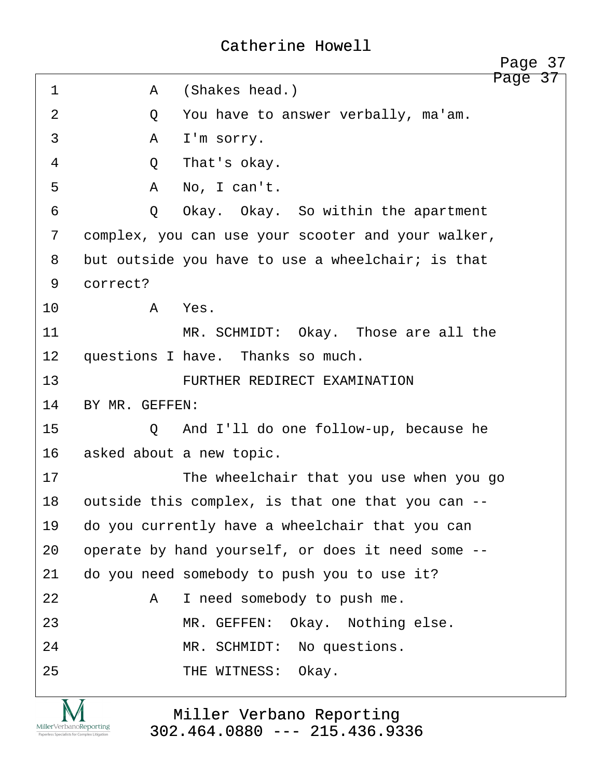<span id="page-37-0"></span>

|             | Page 37                                            |
|-------------|----------------------------------------------------|
| $\mathbf 1$ | Page 37<br>(Shakes head.)<br>A                     |
| 2           | You have to answer verbally, ma'am.<br>Q           |
| 3           | I'm sorry.<br>A                                    |
| 4           | That's okay.<br>Q                                  |
| 5           | A<br>No, I can't.                                  |
| 6           | Okay. Okay. So within the apartment<br>$\circ$     |
| 7           | complex, you can use your scooter and your walker, |
| 8           | but outside you have to use a wheelchair; is that  |
| 9           | correct?                                           |
| 10          | Yes.<br>A                                          |
| 11          | MR. SCHMIDT: Okay. Those are all the               |
| 12          | questions I have. Thanks so much.                  |
| 13          | FURTHER REDIRECT EXAMINATION                       |
| 14          | BY MR. GEFFEN:                                     |
| 15          | And I'll do one follow-up, because he<br>Q         |
| 16          | asked about a new topic.                           |
| 17          | The wheelchair that you use when you go            |
| 18          | outside this complex, is that one that you can --  |
| 19          | do you currently have a wheelchair that you can    |
| 20          | operate by hand yourself, or does it need some --  |
| 21          | do you need somebody to push you to use it?        |
| 22          | I need somebody to push me.<br>Α                   |
| 23          | Okay. Nothing else.<br>MR. GEFFEN:                 |
| 24          | MR. SCHMIDT: No questions.                         |
| 25          | THE WITNESS:<br>Okay.                              |
|             |                                                    |

**IVI**  $\underset{\text{Paperless Specialists for Complex Litigation}}{\text{MillerVerbanoReporting}}$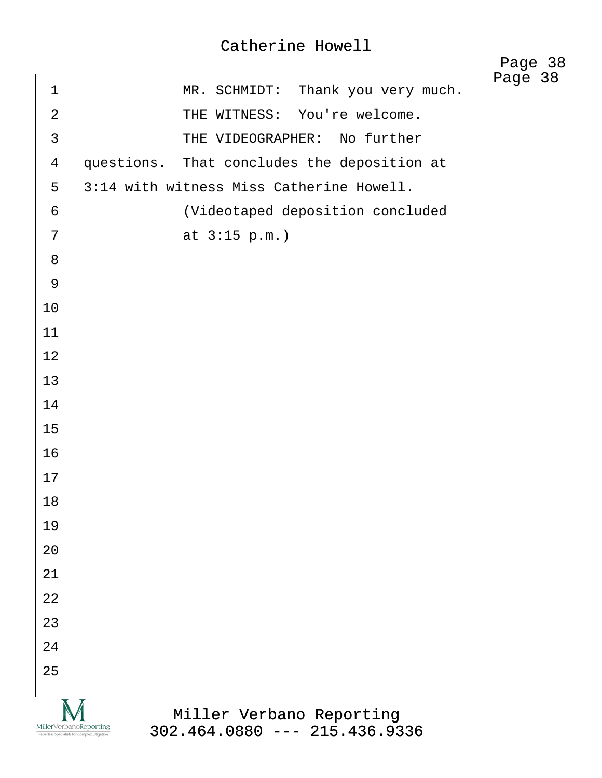<span id="page-38-0"></span>

|                |                                                                                                                                       | Page 38<br>Page 38 |
|----------------|---------------------------------------------------------------------------------------------------------------------------------------|--------------------|
| $\mathbf 1$    | Thank you very much.<br>MR. SCHMIDT:                                                                                                  |                    |
| $\overline{2}$ | THE WITNESS: You're welcome.                                                                                                          |                    |
| $\mathfrak{Z}$ | THE VIDEOGRAPHER: No further                                                                                                          |                    |
| $\overline{4}$ | questions. That concludes the deposition at                                                                                           |                    |
| 5              | 3:14 with witness Miss Catherine Howell.                                                                                              |                    |
| 6              | (Videotaped deposition concluded                                                                                                      |                    |
| 7              | at $3:15 p.m.$                                                                                                                        |                    |
| 8              |                                                                                                                                       |                    |
| 9              |                                                                                                                                       |                    |
| 10             |                                                                                                                                       |                    |
| 11             |                                                                                                                                       |                    |
| 12             |                                                                                                                                       |                    |
| 13             |                                                                                                                                       |                    |
| 14             |                                                                                                                                       |                    |
| 15             |                                                                                                                                       |                    |
| 16             |                                                                                                                                       |                    |
| 17             |                                                                                                                                       |                    |
| 18             |                                                                                                                                       |                    |
| 19             |                                                                                                                                       |                    |
| 20             |                                                                                                                                       |                    |
| 21             |                                                                                                                                       |                    |
| 22             |                                                                                                                                       |                    |
| 23             |                                                                                                                                       |                    |
| 24             |                                                                                                                                       |                    |
| 25             |                                                                                                                                       |                    |
|                | Miller Verbano Reporting<br>MillerVerbanoReporting<br>$302.464.0880$ --- 215.436.9336<br>Paperless Specialists for Complex Litigation |                    |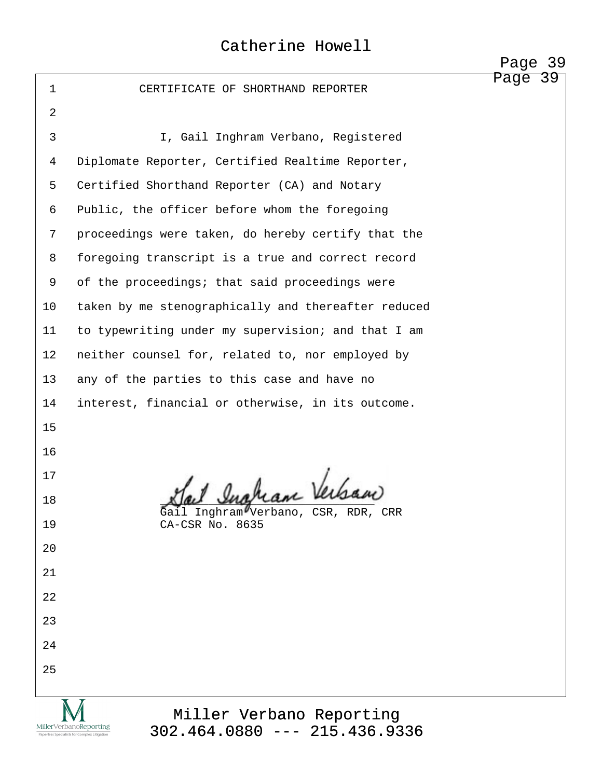|                |                                                                                                                                       | rayc<br>. پ |
|----------------|---------------------------------------------------------------------------------------------------------------------------------------|-------------|
| $\mathbf{1}$   | CERTIFICATE OF SHORTHAND REPORTER                                                                                                     | Page<br>39  |
| $\overline{2}$ |                                                                                                                                       |             |
| 3              | I, Gail Inghram Verbano, Registered                                                                                                   |             |
| 4              | Diplomate Reporter, Certified Realtime Reporter,                                                                                      |             |
| 5              | Certified Shorthand Reporter (CA) and Notary                                                                                          |             |
| 6              | Public, the officer before whom the foregoing                                                                                         |             |
| 7              | proceedings were taken, do hereby certify that the                                                                                    |             |
| 8              | foregoing transcript is a true and correct record                                                                                     |             |
| 9              | of the proceedings; that said proceedings were                                                                                        |             |
| 10             | taken by me stenographically and thereafter reduced                                                                                   |             |
| 11             | to typewriting under my supervision; and that I am                                                                                    |             |
| 12             | neither counsel for, related to, nor employed by                                                                                      |             |
| 13             | any of the parties to this case and have no                                                                                           |             |
| 14             | interest, financial or otherwise, in its outcome.                                                                                     |             |
| 15             |                                                                                                                                       |             |
| 16             |                                                                                                                                       |             |
| 17             | Sail Ingham Verkan                                                                                                                    |             |
| 18             | Gail Inghram Verbano, CSR, RDR, CRR                                                                                                   |             |
| 19             | CA-CSR No. 8635                                                                                                                       |             |
| 20             |                                                                                                                                       |             |
| 21             |                                                                                                                                       |             |
| 22             |                                                                                                                                       |             |
| 23             |                                                                                                                                       |             |
| 24             |                                                                                                                                       |             |
| 25             |                                                                                                                                       |             |
|                |                                                                                                                                       |             |
|                | Miller Verbano Reporting<br>MillerVerbanoReporting<br>$302.464.0880$ --- 215.436.9336<br>Paperless Specialists for Complex Litigation |             |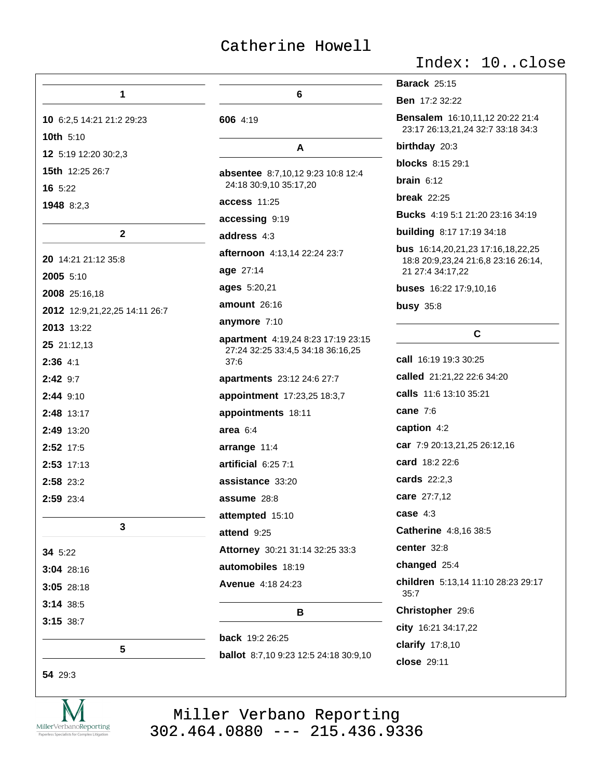|                               |                                                                         | <b>Barack 25:15</b>                                                  |
|-------------------------------|-------------------------------------------------------------------------|----------------------------------------------------------------------|
| 1                             | 6                                                                       | <b>Ben</b> 17:2 32:22                                                |
| 10 6:2,5 14:21 21:2 29:23     | 606 4:19                                                                | Bensalem 16:10,11,12 20:22 21:4<br>23:17 26:13,21,24 32:7 33:18 34:3 |
| 10th 5:10                     | A                                                                       | birthday 20:3                                                        |
| 12 5:19 12:20 30:2,3          |                                                                         | <b>blocks</b> 8:15 29:1                                              |
| <b>15th</b> 12:25 26:7        | absentee 8:7,10,12 9:23 10:8 12:4<br>24:18 30:9,10 35:17,20             | <b>brain</b> $6:12$                                                  |
| 16 5:22                       |                                                                         | break $22:25$                                                        |
| 1948 8:2,3                    | <b>access 11:25</b>                                                     | <b>Bucks</b> 4:19 5:1 21:20 23:16 34:19                              |
| $\mathbf 2$                   | accessing 9:19                                                          | <b>building</b> 8:17 17:19 34:18                                     |
|                               | address 4:3                                                             | bus 16:14,20,21,23 17:16,18,22,25                                    |
| 20 14:21 21:12 35:8           | afternoon 4:13,14 22:24 23:7                                            | 18:8 20:9,23,24 21:6,8 23:16 26:14,                                  |
| 2005 5:10                     | age 27:14                                                               | 21 27:4 34:17,22                                                     |
| 2008 25:16,18                 | ages 5:20,21                                                            | buses 16:22 17:9,10,16                                               |
| 2012 12:9,21,22,25 14:11 26:7 | amount 26:16                                                            | <b>busy</b> 35:8                                                     |
| 2013 13:22                    | anymore 7:10                                                            | C                                                                    |
| 25 21:12,13                   | apartment 4:19,24 8:23 17:19 23:15<br>27:24 32:25 33:4,5 34:18 36:16,25 |                                                                      |
| $2:36$ 4:1                    | 37:6                                                                    | call 16:19 19:3 30:25                                                |
| 2:42 9:7                      | apartments 23:12 24:6 27:7                                              | called 21:21,22 22:6 34:20                                           |
| 2:44 9:10                     | appointment 17:23,25 18:3,7                                             | calls 11:6 13:10 35:21                                               |
| 2:48 13:17                    | appointments 18:11                                                      | cane 7:6                                                             |
| 2:49 13:20                    | area $6:4$                                                              | caption 4:2                                                          |
| 2:52 17:5                     | arrange 11:4                                                            | car 7:9 20:13,21,25 26:12,16                                         |
| 2:53 17:13                    | artificial 6:25 7:1                                                     | card 18:2 22:6                                                       |
| 2:58 23:2                     | assistance 33:20                                                        | cards 22:2,3                                                         |
| 2:59 23:4                     | assume 28:8                                                             | care 27:7,12                                                         |
|                               | attempted 15:10                                                         | case $4:3$                                                           |
| 3                             | attend 9:25                                                             | Catherine 4:8,16 38:5                                                |
| 34 5:22                       | Attorney 30:21 31:14 32:25 33:3                                         | center 32:8                                                          |
| 3:04 28:16                    | automobiles 18:19                                                       | changed 25:4                                                         |
| 3:05 28:18                    | <b>Avenue</b> 4:18 24:23                                                | children 5:13,14 11:10 28:23 29:17<br>35:7                           |
| 3:14 38:5                     | в                                                                       | Christopher 29:6                                                     |
| 3:15 38:7                     |                                                                         | city 16:21 34:17,22                                                  |
| 5                             | <b>back</b> 19:2 26:25                                                  | clarify $17:8,10$                                                    |
|                               | <b>ballot</b> 8:7,10 9:23 12:5 24:18 30:9,10                            | close 29:11                                                          |

54 29:3



Miller Verbano Reporting<br>302.464.0880 --- 215.436.9336

# Index: 10..close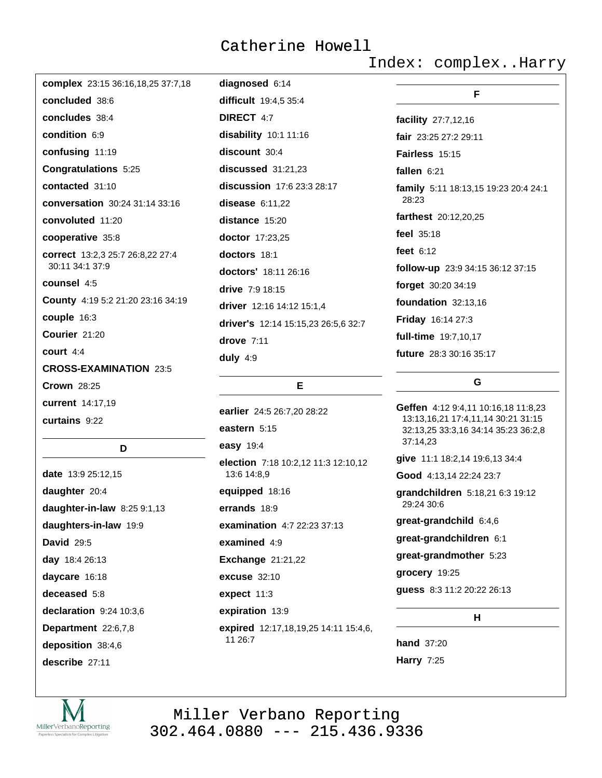Index: complex..Harry

| complex 23:15 36:16,18,25 37:7,18 | diagnosed 6:14                      |                                      |  |
|-----------------------------------|-------------------------------------|--------------------------------------|--|
| concluded 38:6                    | difficult 19:4,5 35:4               | F                                    |  |
| concludes 38:4                    | <b>DIRECT 4:7</b>                   | facility 27:7,12,16                  |  |
| condition 6:9                     | disability 10:1 11:16               | fair 23:25 27:2 29:11                |  |
| confusing 11:19                   | discount 30:4                       | <b>Fairless</b> $15:15$              |  |
| Congratulations 5:25              | discussed 31:21,23                  | fallen 6:21                          |  |
| contacted 31:10                   | discussion 17:6 23:3 28:17          | family 5:11 18:13,15 19:23 20:4 24:1 |  |
| conversation 30:24 31:14 33:16    | disease $6:11,22$                   | 28:23                                |  |
| convoluted 11:20                  | distance 15:20                      | farthest 20:12,20,25                 |  |
| cooperative 35:8                  | doctor 17:23,25                     | feel 35:18                           |  |
| correct 13:2,3 25:7 26:8,22 27:4  | doctors 18:1                        | feet $6:12$                          |  |
| 30:11 34:1 37:9                   | doctors' 18:11 26:16                | follow-up 23:9 34:15 36:12 37:15     |  |
| counsel 4:5                       | drive $7:9 18:15$                   | forget 30:20 34:19                   |  |
| County 4:19 5:2 21:20 23:16 34:19 | driver 12:16 14:12 15:1,4           | foundation 32:13,16                  |  |
| couple 16:3                       | driver's 12:14 15:15,23 26:5,6 32:7 | Friday 16:14 27:3                    |  |
| Courier 21:20                     | drove 7:11                          | full-time 19:7,10,17                 |  |
| court $4:4$                       | duly $4:9$                          | future 28:3 30:16 35:17              |  |
| <b>CROSS-EXAMINATION 23:5</b>     |                                     |                                      |  |
| <b>Crown 28:25</b>                | Е                                   | G                                    |  |
| current 14:17,19                  |                                     | Geffen 4:12 9:4.11 10:16.18 11:8.23  |  |
| curtains 9:22                     | earlier 24:5 26:7,20 28:22          | 13:13,16,21 17:4,11,14 30:21 31:15   |  |

#### D

date 13:9 25:12,15 daughter 20:4 daughter-in-law 8:25 9:1,13 daughters-in-law 19:9 **David 29:5** day 18:4 26:13 daycare 16:18 deceased 5:8 declaration 9:24 10:3,6 Department 22:6,7,8 deposition 38:4,6 describe 27:11

eastern 5:15 easy 19:4 election 7:18 10:2,12 11:3 12:10,12 13:6 14:8,9 equipped 18:16 errands 18:9 examination 4:7 22:23 37:13 examined  $4:9$ **Exchange 21:21,22** excuse  $32:10$ expect 11:3 expiration 13:9 expired 12:17,18,19,25 14:11 15:4,6, 11 26:7

6,18 11:8,23 80:21 31:15 32:13,25 33:3,16 34:14 35:23 36:2,8 37:14,23 give 11:1 18:2,14 19:6,13 34:4 Good 4:13,14 22:24 23:7 grandchildren 5:18,21 6:3 19:12 29:24 30:6 great-grandchild 6:4,6 great-grandchildren 6:1 great-grandmother 5:23 grocery 19:25 guess 8:3 11:2 20:22 26:13  $H$ 

**hand** 37:20 **Harry 7:25** 

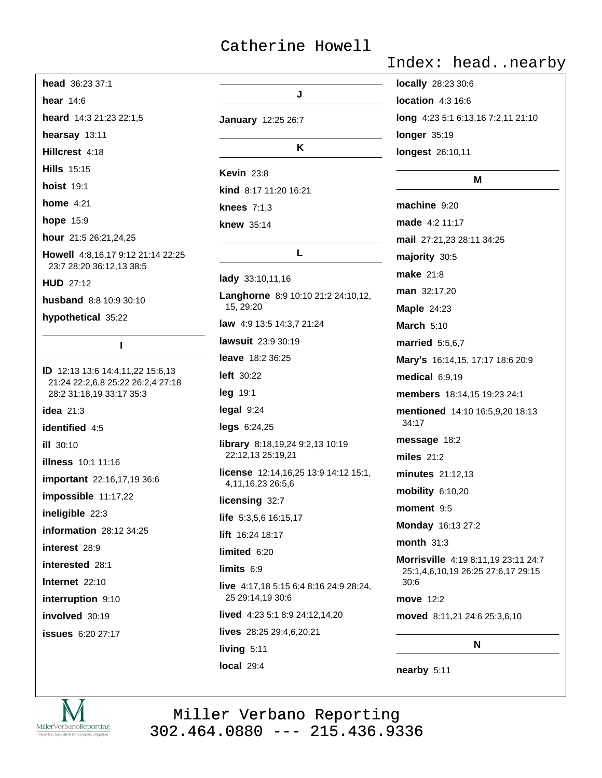| head 36:23 37:1                                                       |                                                           |
|-----------------------------------------------------------------------|-----------------------------------------------------------|
| hear $14:6$                                                           | J                                                         |
| heard 14:3 21:23 22:1,5                                               | <b>January</b> 12:25 26:7                                 |
| hearsay 13:11                                                         |                                                           |
| Hillcrest 4:18                                                        | K                                                         |
| <b>Hills</b> 15:15                                                    | <b>Kevin 23:8</b>                                         |
| <b>hoist 19:1</b>                                                     | kind 8:17 11:20 16:21                                     |
| home $4:21$                                                           | knees $7:1,3$                                             |
| hope 15:9                                                             | <b>knew</b> 35:14                                         |
| hour 21:5 26:21,24,25                                                 |                                                           |
| <b>Howell</b> 4:8,16,17 9:12 21:14 22:25<br>23:7 28:20 36:12,13 38:5  | L.                                                        |
| <b>HUD 27:12</b>                                                      | lady 33:10,11,16                                          |
| husband 8:8 10:9 30:10                                                | Langhorne 8:9 10:10 21:2 24:10,12,<br>15, 29:20           |
| hypothetical 35:22                                                    | law 4:9 13:5 14:3,7 21:24                                 |
| L                                                                     | lawsuit 23:9 30:19                                        |
|                                                                       | <b>leave</b> 18:2 36:25                                   |
| ID 12:13 13:6 14:4,11,22 15:6,13<br>21:24 22:2,6,8 25:22 26:2,4 27:18 | <b>left</b> 30:22                                         |
| 28:2 31:18,19 33:17 35:3                                              | <b>leg</b> 19:1                                           |
| idea $21:3$                                                           | legal 9:24                                                |
| identified 4:5                                                        | $legs$ 6:24,25                                            |
| <b>ill</b> 30:10                                                      | library 8:18,19,24 9:2,13 10:19<br>22:12,13 25:19,21      |
| <b>illness</b> 10:1 11:16<br>important 22:16,17,19 36:6               | license 12:14,16,25 13:9 14:12 15:1,<br>4,11,16,23 26:5,6 |
| impossible 11:17,22                                                   | licensing 32:7                                            |
| ineligible 22:3                                                       | <b>life</b> $5:3,5,6$ 16:15,17                            |
| information 28:12 34:25                                               | lift 16:24 18:17                                          |
| interest 28:9                                                         | limited 6:20                                              |
| <b>interested</b> 28:1                                                | limits 6:9                                                |
| Internet 22:10                                                        | live 4:17,18 5:15 6:4 8:16 24:9 28:24,                    |
| interruption 9:10                                                     | 25 29:14,19 30:6                                          |
| involved 30:19                                                        | lived 4:23 5:1 8:9 24:12,14,20                            |
| <b>issues</b> 6:20 27:17                                              | lives 28:25 29:4,6,20,21                                  |
|                                                                       | living 5:11                                               |
|                                                                       | local 29:4                                                |

Index: head..nearby

locally 28:23 30:6 location 4:3 16:6 long 4:23 5:1 6:13,16 7:2,11 21:10 longer 35:19 longest 26:10,11

#### M

machine 9:20 made 4:2 11:17 mail 27:21,23 28:11 34:25 majority 30:5 **make** 21:8 man 32:17,20 **Maple 24:23 March 5:10 married** 5:5,6,7 Mary's 16:14,15, 17:17 18:6 20:9  $medical$  6:9,19 members 18:14,15 19:23 24:1 mentioned 14:10 16:5,9,20 18:13 34:17 message 18:2 miles  $21:2$ minutes 21:12,13 mobility 6:10,20 moment 9:5 Monday 16:13 27:2 month  $31:3$ Morrisville 4:19 8:11,19 23:11 24:7 25:1,4,6,10,19 26:25 27:6,17 29:15  $30:6$ move 12:2 moved 8:11,21 24:6 25:3,6,10

N

nearby 5:11

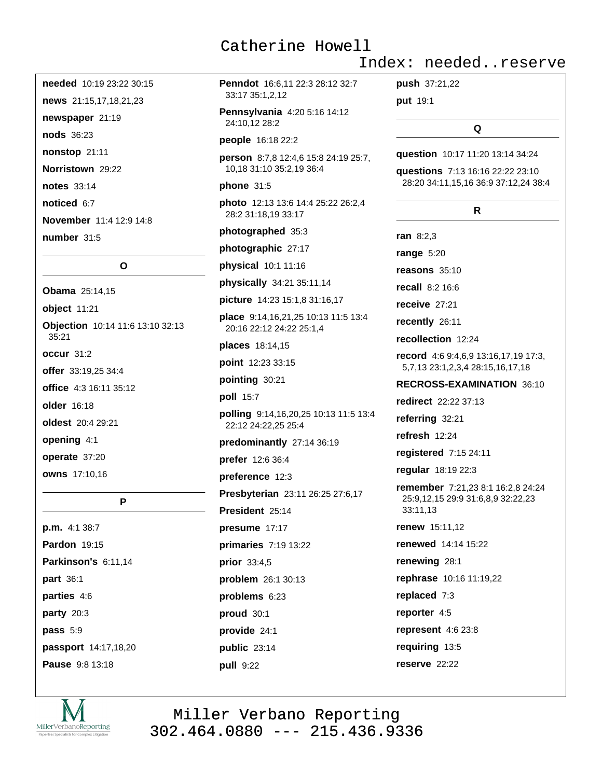needed 10:19 23:22 30:15 news 21:15,17,18,21,23 newspaper 21:19 nods 36:23 nonstop 21:11 Norristown 29:22 notes 33:14 noticed 6:7 November 11:4 12:9 14:8 number 31:5

 $\Omega$ 

**Obama** 25:14,15 object 11:21 Objection 10:14 11:6 13:10 32:13  $35:21$ occur 31:2 offer 33:19.25 34:4 office 4:3 16:11 35:12 older 16:18 oldest 20:4 29:21 opening 4:1 operate 37:20 owns 17:10,16

P

p.m. 4:1 38:7 **Pardon 19:15** Parkinson's 6:11,14 part 36:1 parties 4:6 party  $20:3$ pass 5:9 passport 14:17,18,20 Pause 9:8 13:18

Penndot 16:6.11 22:3 28:12 32:7 33:17 35:1,2,12

Pennsylvania 4:20 5:16 14:12 24:10,12 28:2

people 16:18 22:2

person 8:7,8 12:4,6 15:8 24:19 25:7, 10,18 31:10 35:2,19 36:4

#### phone  $31:5$

photo 12:13 13:6 14:4 25:22 26:2,4 28:2 31:18,19 33:17

photographed 35:3

photographic 27:17

physical 10:1 11:16

physically 34:21 35:11,14

**picture** 14:23 15:1,8 31:16,17

place 9:14, 16, 21, 25 10:13 11:5 13:4 20:16 22:12 24:22 25:1,4

places 18:14,15

point 12:23 33:15

pointing 30:21

poll 15:7

polling 9:14,16,20,25 10:13 11:5 13:4 22:12 24:22,25 25:4

predominantly 27:14 36:19

prefer 12:6 36:4

preference 12:3

Presbyterian 23:11 26:25 27:6,17

President 25:14

presume 17:17 primaries 7:19 13:22 prior 33:4,5 problem 26:1 30:13

problems  $6:23$ proud 30:1

provide 24:1 public 23:14

pull 9:22

Index: needed..reserve

push 37:21,22

put 19:1

 $\Omega$ 

question 10:17 11:20 13:14 34:24

questions 7:13 16:16 22:22 23:10 28:20 34:11,15,16 36:9 37:12,24 38:4

#### R.

ran  $8:2.3$ range  $5:20$ reasons 35:10 recall 8:2 16:6 receive  $27:21$ recently 26:11 recollection 12:24 record 4:6 9:4,6,9 13:16,17,19 17:3, 5,7,13 23:1,2,3,4 28:15,16,17,18 RECROSS-EXAMINATION 36:10 redirect 22:22 37:13 referring 32:21 refresh 12:24 registered 7:15 24:11 regular 18:19 22:3 remember 7:21,23 8:1 16:2,8 24:24 25:9,12,15 29:9 31:6,8,9 32:22,23 33:11,13 **renew** 15:11.12 **renewed** 14:14 15:22 renewing 28:1 rephrase 10:16 11:19,22 replaced 7:3 reporter 4:5 represent  $4:623:8$ requiring 13:5 reserve 22:22

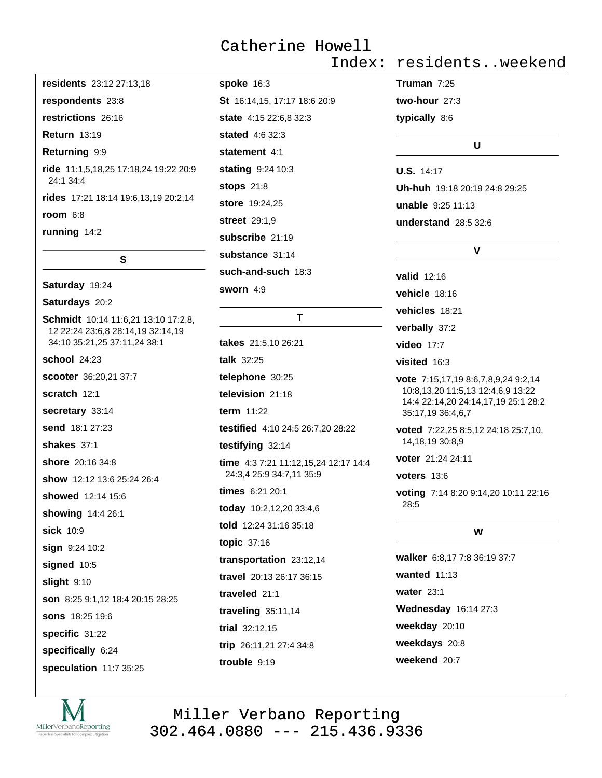residents 23:12 27:13,18 respondents 23:8 restrictions 26:16 **Return 13:19** Returning 9:9 ride 11:1,5,18,25 17:18,24 19:22 20:9 24:1 34:4 rides 17:21 18:14 19:6,13,19 20:2,14 room  $6:8$ 

running 14:2

#### $\mathbf{s}$

Saturday 19:24

Saturdays 20:2

Schmidt 10:14 11:6,21 13:10 17:2,8, 12 22:24 23:6,8 28:14,19 32:14,19 34:10 35:21,25 37:11,24 38:1 school 24:23 scooter 36:20.21 37:7 scratch 12:1 secretary 33:14 send 18:1 27:23 shakes  $37:1$ shore 20:16 34:8 show 12:12 13:6 25:24 26:4 showed 12:14 15:6 showing 14:4 26:1 sick 10:9 sian 9:24 10:2 signed 10:5 slight 9:10 son 8:25 9:1.12 18:4 20:15 28:25 **sons** 18:25 19:6 specific 31:22 specifically 6:24 speculation 11:7 35:25

**spoke 16:3** St 16:14,15, 17:17 18:6 20:9 **state** 4:15 22:6.8 32:3 stated 4:6 32:3 statement 4:1 stating 9:24 10:3 **stops** 21:8 store 19:24,25 street 29:1.9 subscribe 21:19 substance 31:14 such-and-such 18:3 sworn 4:9

#### T

takes 21:5,10 26:21 talk 32:25 telephone 30:25 television 21:18 term 11:22 testified 4:10 24:5 26:7.20 28:22 testifying 32:14 time 4:3 7:21 11:12,15,24 12:17 14:4 24:3,4 25:9 34:7,11 35:9 times 6:21 20:1 today 10:2,12,20 33:4,6 told 12:24 31:16 35:18 topic 37:16 transportation 23:12,14 travel 20:13 26:17 36:15 traveled 21:1 traveling  $35:11,14$ trial 32:12,15 trip 26:11,21 27:4 34:8 trouble 9:19

Index: residents..weekend

Truman  $7:25$ two-hour  $27:3$ typically 8:6

#### U

U.S. 14:17 Uh-huh 19:18 20:19 24:8 29:25 unable 9:25 11:13 understand 28:5 32:6

#### $\mathbf{V}$

valid 12:16 vehicle 18:16 vehicles 18:21 verbally 37:2 video 17:7 visited 16:3 vote 7:15,17,19 8:6,7,8,9,24 9:2,14 10:8,13,20 11:5,13 12:4,6,9 13:22 14:4 22:14,20 24:14,17,19 25:1 28:2 35:17,19 36:4,6,7 voted 7:22,25 8:5,12 24:18 25:7,10, 14.18.19 30:8.9 voter 21:24 24:11 voters  $13:6$ 

voting 7:14 8:20 9:14,20 10:11 22:16 28:5

#### W

walker 6:8,17 7:8 36:19 37:7 wanted  $11:13$ water  $23:1$ Wednesday 16:14 27:3 weekday 20:10 weekdays 20:8 weekend 20:7